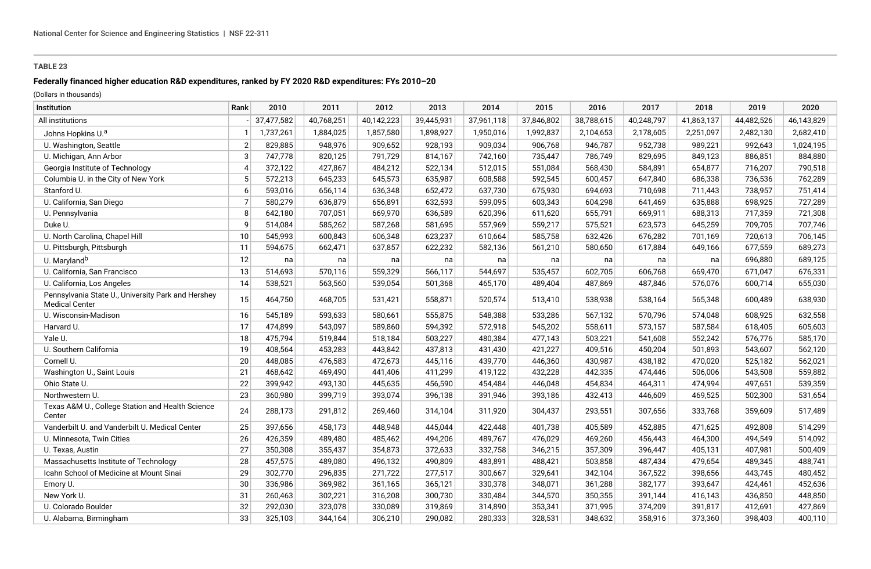# **Federally financed higher education R&D expenditures, ranked by FY 2020 R&D expenditures: FYs 2010–20**

| Institution                                                                 | Rank | 2010       | 2011       | 2012       | 2013       | 2014       | 2015       | 2016       | 2017       | 2018       | 2019       | 2020       |
|-----------------------------------------------------------------------------|------|------------|------------|------------|------------|------------|------------|------------|------------|------------|------------|------------|
| All institutions                                                            |      | 37,477,582 | 40,768,251 | 40,142,223 | 39,445,931 | 37,961,118 | 37,846,802 | 38,788,615 | 40,248,797 | 41,863,137 | 44,482,526 | 46,143,829 |
| Johns Hopkins U. <sup>a</sup>                                               |      | 1,737,261  | 1,884,025  | 1,857,580  | 1,898,927  | 1,950,016  | 1,992,837  | 2,104,653  | 2,178,605  | 2,251,097  | 2,482,130  | 2,682,410  |
| U. Washington, Seattle                                                      |      | 829,885    | 948,976    | 909,652    | 928,193    | 909,034    | 906,768    | 946,787    | 952,738    | 989,221    | 992,643    | 1,024,195  |
| U. Michigan, Ann Arbor                                                      |      | 747,778    | 820,125    | 791,729    | 814,167    | 742,160    | 735,447    | 786,749    | 829,695    | 849,123    | 886,851    | 884,880    |
| Georgia Institute of Technology                                             |      | 372,122    | 427,867    | 484,212    | 522,134    | 512,015    | 551,084    | 568,430    | 584,891    | 654,877    | 716,207    | 790,518    |
| Columbia U. in the City of New York                                         |      | 572,213    | 645,233    | 645,573    | 635,987    | 608,588    | 592,545    | 600,457    | 647,840    | 686,338    | 736,536    | 762,289    |
| Stanford U.                                                                 |      | 593,016    | 656,114    | 636,348    | 652,472    | 637,730    | 675,930    | 694,693    | 710,698    | 711,443    | 738,957    | 751,414    |
| U. California, San Diego                                                    |      | 580,279    | 636,879    | 656,891    | 632,593    | 599,095    | 603,343    | 604,298    | 641,469    | 635,888    | 698,925    | 727,289    |
| U. Pennsylvania                                                             |      | 642,180    | 707,051    | 669,970    | 636,589    | 620,396    | 611,620    | 655,791    | 669,911    | 688,313    | 717,359    | 721,308    |
| Duke U.                                                                     |      | 514,084    | 585,262    | 587,268    | 581,695    | 557,969    | 559,217    | 575,521    | 623,573    | 645,259    | 709,705    | 707,746    |
| U. North Carolina, Chapel Hill                                              | 10   | 545,993    | 600,843    | 606,348    | 623,237    | 610,664    | 585,758    | 632,426    | 676,282    | 701,169    | 720,613    | 706,145    |
| U. Pittsburgh, Pittsburgh                                                   | 11   | 594,675    | 662,471    | 637,857    | 622,232    | 582,136    | 561,210    | 580,650    | 617,884    | 649,166    | 677,559    | 689,273    |
| U. Maryland <sup>b</sup>                                                    | 12   | na         | na         | na         | na         | na         | na         | na         | na         | na         | 696,880    | 689,125    |
| U. California, San Francisco                                                | 13   | 514,693    | 570,116    | 559,329    | 566,117    | 544,697    | 535,457    | 602,705    | 606,768    | 669,470    | 671,047    | 676,331    |
| U. California, Los Angeles                                                  | 14   | 538,521    | 563,560    | 539,054    | 501,368    | 465,170    | 489,404    | 487,869    | 487,846    | 576,076    | 600,714    | 655,030    |
| Pennsylvania State U., University Park and Hershey<br><b>Medical Center</b> | 15   | 464,750    | 468,705    | 531,421    | 558,871    | 520,574    | 513,410    | 538,938    | 538,164    | 565,348    | 600,489    | 638,930    |
| U. Wisconsin-Madison                                                        | 16   | 545,189    | 593,633    | 580,661    | 555,875    | 548,388    | 533,286    | 567,132    | 570,796    | 574,048    | 608,925    | 632,558    |
| Harvard U.                                                                  | 17   | 474,899    | 543,097    | 589,860    | 594,392    | 572,918    | 545,202    | 558,611    | 573,157    | 587,584    | 618,405    | 605,603    |
| Yale U.                                                                     | 18   | 475,794    | 519,844    | 518,184    | 503,227    | 480,384    | 477,143    | 503,221    | 541,608    | 552,242    | 576,776    | 585,170    |
| U. Southern California                                                      | 19   | 408,564    | 453,283    | 443,842    | 437,813    | 431,430    | 421,227    | 409,516    | 450,204    | 501,893    | 543,607    | 562,120    |
| Cornell U.                                                                  | 20   | 448,085    | 476,583    | 472,673    | 445,116    | 439,770    | 446,360    | 430,987    | 438,182    | 470,020    | 525,182    | 562,021    |
| Washington U., Saint Louis                                                  | 21   | 468,642    | 469,490    | 441,406    | 411,299    | 419,122    | 432,228    | 442,335    | 474,446    | 506,006    | 543,508    | 559,882    |
| Ohio State U.                                                               | 22   | 399,942    | 493,130    | 445,635    | 456,590    | 454,484    | 446,048    | 454,834    | 464,311    | 474,994    | 497,651    | 539,359    |
| Northwestern U.                                                             | 23   | 360,980    | 399,719    | 393,074    | 396,138    | 391,946    | 393,186    | 432,413    | 446,609    | 469,525    | 502,300    | 531,654    |
| Texas A&M U., College Station and Health Science<br>Center                  | 24   | 288,173    | 291,812    | 269,460    | 314,104    | 311,920    | 304,437    | 293,551    | 307,656    | 333,768    | 359,609    | 517,489    |
| Vanderbilt U. and Vanderbilt U. Medical Center                              | 25   | 397,656    | 458,173    | 448,948    | 445,044    | 422,448    | 401,738    | 405,589    | 452,885    | 471,625    | 492,808    | 514,299    |
| U. Minnesota, Twin Cities                                                   | 26   | 426,359    | 489,480    | 485,462    | 494,206    | 489,767    | 476,029    | 469,260    | 456,443    | 464,300    | 494,549    | 514,092    |
| U. Texas, Austin                                                            | 27   | 350,308    | 355,437    | 354,873    | 372,633    | 332,758    | 346,215    | 357,309    | 396,447    | 405,131    | 407,981    | 500,409    |
| Massachusetts Institute of Technology                                       | 28   | 457,575    | 489,080    | 496,132    | 490,809    | 483,891    | 488,421    | 503,858    | 487,434    | 479,654    | 489,345    | 488,741    |
| Icahn School of Medicine at Mount Sinai                                     | 29   | 302,770    | 296,835    | 271,722    | 277,517    | 300,667    | 329,641    | 342,104    | 367,522    | 398,656    | 443,745    | 480,452    |
| Emory U.                                                                    | 30   | 336,986    | 369,982    | 361,165    | 365,121    | 330,378    | 348,071    | 361,288    | 382,177    | 393,647    | 424,461    | 452,636    |
| New York U.                                                                 | 31   | 260,463    | 302,221    | 316,208    | 300,730    | 330,484    | 344,570    | 350,355    | 391,144    | 416,143    | 436,850    | 448,850    |
| U. Colorado Boulder                                                         | 32   | 292,030    | 323,078    | 330,089    | 319,869    | 314,890    | 353,341    | 371,995    | 374,209    | 391,817    | 412,691    | 427,869    |
| U. Alabama, Birmingham                                                      | 33   | 325,103    | 344,164    | 306,210    | 290,082    | 280,333    | 328,531    | 348,632    | 358,916    | 373,360    | 398,403    | 400,110    |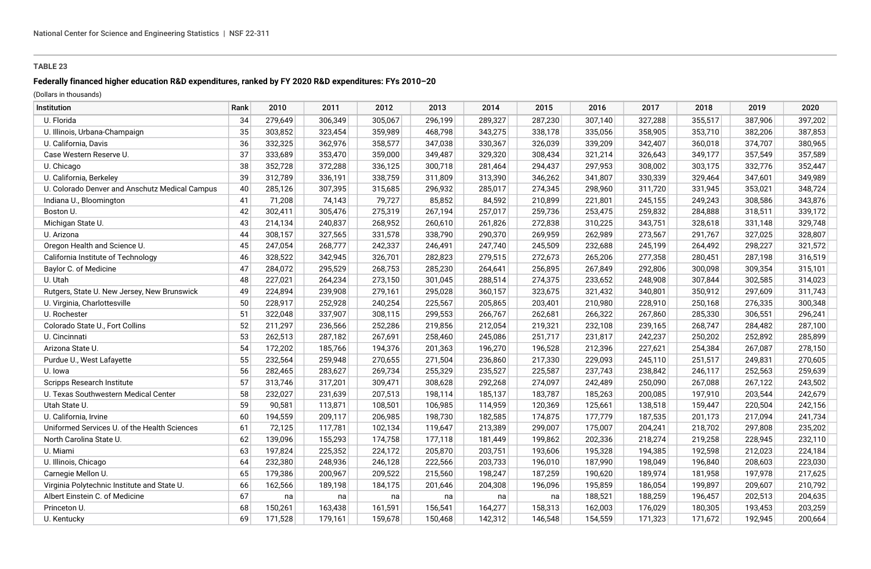## **Federally financed higher education R&D expenditures, ranked by FY 2020 R&D expenditures: FYs 2010–20**

| Institution                                    | Rank | 2010    | 2011    | 2012    | 2013    | 2014    | 2015    | 2016    | 2017    | 2018    | 2019    | 2020    |
|------------------------------------------------|------|---------|---------|---------|---------|---------|---------|---------|---------|---------|---------|---------|
| U. Florida                                     | 34   | 279,649 | 306,349 | 305,067 | 296,199 | 289,327 | 287,230 | 307,140 | 327,288 | 355,517 | 387,906 | 397,202 |
| U. Illinois, Urbana-Champaign                  | 35   | 303,852 | 323,454 | 359,989 | 468,798 | 343,275 | 338,178 | 335,056 | 358,905 | 353,710 | 382,206 | 387,853 |
| U. California, Davis                           | 36   | 332,325 | 362,976 | 358,577 | 347,038 | 330,367 | 326,039 | 339,209 | 342,407 | 360,018 | 374,707 | 380,965 |
| Case Western Reserve U.                        | 37   | 333,689 | 353,470 | 359,000 | 349,487 | 329,320 | 308,434 | 321,214 | 326,643 | 349,177 | 357,549 | 357,589 |
| U. Chicago                                     | 38   | 352,728 | 372,288 | 336,125 | 300,718 | 281,464 | 294,437 | 297,953 | 308,002 | 303,175 | 332,776 | 352,447 |
| U. California, Berkeley                        | 39   | 312,789 | 336,191 | 338,759 | 311,809 | 313,390 | 346,262 | 341,807 | 330,339 | 329,464 | 347,601 | 349,989 |
| U. Colorado Denver and Anschutz Medical Campus | 40   | 285,126 | 307,395 | 315,685 | 296,932 | 285,017 | 274,345 | 298,960 | 311,720 | 331,945 | 353,021 | 348,724 |
| Indiana U., Bloomington                        | 41   | 71,208  | 74,143  | 79,727  | 85,852  | 84,592  | 210,899 | 221,801 | 245,155 | 249,243 | 308,586 | 343,876 |
| Boston U.                                      | 42   | 302,411 | 305,476 | 275,319 | 267,194 | 257,017 | 259,736 | 253,475 | 259,832 | 284,888 | 318,511 | 339,172 |
| Michigan State U.                              | 43   | 214,134 | 240,837 | 268,952 | 260,610 | 261,826 | 272,838 | 310,225 | 343,751 | 328,618 | 331,148 | 329,748 |
| U. Arizona                                     | 44   | 308,157 | 327,565 | 331,578 | 338,790 | 290,370 | 269,959 | 262,989 | 273,567 | 291,767 | 327,025 | 328,807 |
| Oregon Health and Science U.                   | 45   | 247,054 | 268,777 | 242,337 | 246,491 | 247,740 | 245,509 | 232,688 | 245,199 | 264,492 | 298,227 | 321,572 |
| California Institute of Technology             | 46   | 328,522 | 342,945 | 326,701 | 282,823 | 279,515 | 272,673 | 265,206 | 277,358 | 280,451 | 287,198 | 316,519 |
| Baylor C. of Medicine                          | 47   | 284,072 | 295,529 | 268,753 | 285,230 | 264,641 | 256,895 | 267,849 | 292,806 | 300,098 | 309,354 | 315,101 |
| U. Utah                                        | 48   | 227,021 | 264,234 | 273,150 | 301,045 | 288,514 | 274,375 | 233,652 | 248,908 | 307,844 | 302,585 | 314,023 |
| Rutgers, State U. New Jersey, New Brunswick    | 49   | 224,894 | 239,908 | 279,161 | 295,028 | 360,157 | 323,675 | 321,432 | 340,801 | 350,912 | 297,609 | 311,743 |
| U. Virginia, Charlottesville                   | 50   | 228,917 | 252,928 | 240,254 | 225,567 | 205,865 | 203,401 | 210,980 | 228,910 | 250,168 | 276,335 | 300,348 |
| U. Rochester                                   | 51   | 322,048 | 337,907 | 308,115 | 299,553 | 266,767 | 262,681 | 266,322 | 267,860 | 285,330 | 306,551 | 296,241 |
| Colorado State U., Fort Collins                | 52   | 211,297 | 236,566 | 252,286 | 219,856 | 212,054 | 219,321 | 232,108 | 239,165 | 268,747 | 284,482 | 287,100 |
| U. Cincinnati                                  | 53   | 262,513 | 287,182 | 267,691 | 258,460 | 245,086 | 251,717 | 231,817 | 242,237 | 250,202 | 252,892 | 285,899 |
| Arizona State U.                               | 54   | 172,202 | 185,766 | 194,376 | 201,363 | 196,270 | 196,528 | 212,396 | 227,621 | 254,384 | 267,087 | 278,150 |
| Purdue U., West Lafayette                      | 55   | 232,564 | 259,948 | 270,655 | 271,504 | 236,860 | 217,330 | 229,093 | 245,110 | 251,517 | 249,831 | 270,605 |
| U. Iowa                                        | 56   | 282,465 | 283,627 | 269,734 | 255,329 | 235,527 | 225,587 | 237,743 | 238,842 | 246,117 | 252,563 | 259,639 |
| Scripps Research Institute                     | 57   | 313,746 | 317,201 | 309,471 | 308,628 | 292,268 | 274,097 | 242,489 | 250,090 | 267,088 | 267,122 | 243,502 |
| U. Texas Southwestern Medical Center           | 58   | 232,027 | 231,639 | 207,513 | 198,114 | 185,137 | 183,787 | 185,263 | 200,085 | 197,910 | 203,544 | 242,679 |
| Utah State U.                                  | 59   | 90,581  | 113,871 | 108,501 | 106,985 | 114,959 | 120,369 | 125,661 | 138,518 | 159,447 | 220,504 | 242,156 |
| U. California, Irvine                          | 60   | 194,559 | 209,117 | 206,985 | 198,730 | 182,585 | 174,875 | 177,779 | 187,535 | 201,173 | 217,094 | 241,734 |
| Uniformed Services U. of the Health Sciences   | 61   | 72,125  | 117,781 | 102,134 | 119,647 | 213,389 | 299,007 | 175,007 | 204,241 | 218,702 | 297,808 | 235,202 |
| North Carolina State U.                        | 62   | 139,096 | 155,293 | 174,758 | 177,118 | 181,449 | 199,862 | 202,336 | 218,274 | 219,258 | 228,945 | 232,110 |
| U. Miami                                       | 63   | 197,824 | 225,352 | 224,172 | 205,870 | 203,751 | 193,606 | 195,328 | 194,385 | 192,598 | 212,023 | 224,184 |
| U. Illinois, Chicago                           | 64   | 232,380 | 248,936 | 246,128 | 222,566 | 203,733 | 196,010 | 187,990 | 198,049 | 196,840 | 208,603 | 223,030 |
| Carnegie Mellon U.                             | 65   | 179,386 | 200,967 | 209,522 | 215,560 | 198,247 | 187,259 | 190,620 | 189,974 | 181,958 | 197,978 | 217,625 |
| Virginia Polytechnic Institute and State U.    | 66   | 162,566 | 189,198 | 184,175 | 201,646 | 204,308 | 196,096 | 195,859 | 186,054 | 199,897 | 209,607 | 210,792 |
| Albert Einstein C. of Medicine                 | 67   | na      | na      | na      | na      | na      | na      | 188,521 | 188,259 | 196,457 | 202,513 | 204,635 |
| Princeton U.                                   | 68   | 150,261 | 163,438 | 161,591 | 156,541 | 164,277 | 158,313 | 162,003 | 176,029 | 180,305 | 193,453 | 203,259 |
| U. Kentucky                                    | 69   | 171,528 | 179,161 | 159,678 | 150,468 | 142,312 | 146,548 | 154,559 | 171,323 | 171,672 | 192,945 | 200,664 |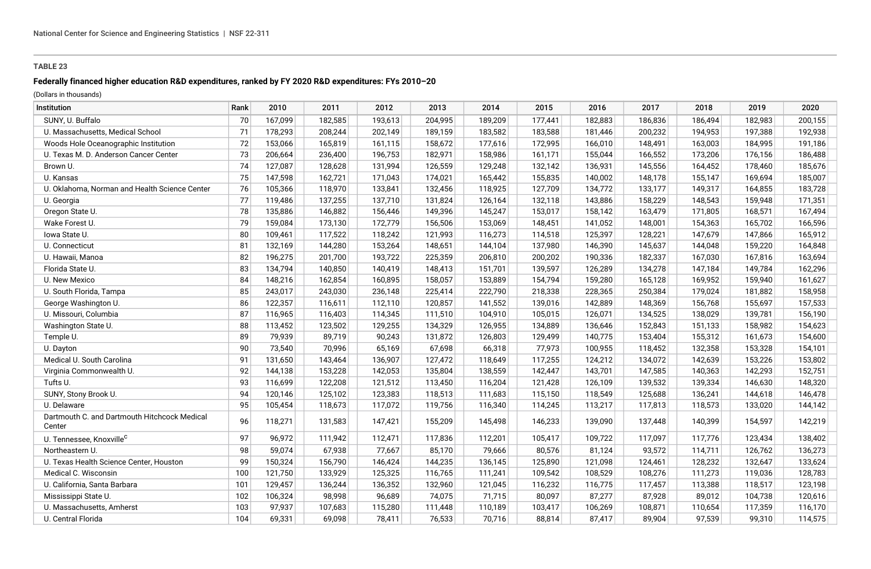## **Federally financed higher education R&D expenditures, ranked by FY 2020 R&D expenditures: FYs 2010–20**

| Institution                                            | Rank | 2010    | 2011    | 2012    | 2013    | 2014    | 2015    | 2016    | 2017    | 2018    | 2019    | 2020    |
|--------------------------------------------------------|------|---------|---------|---------|---------|---------|---------|---------|---------|---------|---------|---------|
| SUNY, U. Buffalo                                       | 70   | 167,099 | 182,585 | 193,613 | 204,995 | 189,209 | 177,441 | 182,883 | 186,836 | 186,494 | 182,983 | 200,155 |
| U. Massachusetts, Medical School                       | 71   | 178,293 | 208,244 | 202,149 | 189,159 | 183,582 | 183,588 | 181,446 | 200,232 | 194,953 | 197,388 | 192,938 |
| Woods Hole Oceanographic Institution                   | 72   | 153,066 | 165,819 | 161,115 | 158,672 | 177,616 | 172,995 | 166,010 | 148,491 | 163,003 | 184,995 | 191,186 |
| U. Texas M. D. Anderson Cancer Center                  | 73   | 206,664 | 236,400 | 196,753 | 182,971 | 158,986 | 161,171 | 155,044 | 166,552 | 173,206 | 176,156 | 186,488 |
| Brown U.                                               | 74   | 127,087 | 128,628 | 131,994 | 126,559 | 129,248 | 132,142 | 136,931 | 145,556 | 164,452 | 178,460 | 185,676 |
| U. Kansas                                              | 75   | 147,598 | 162,721 | 171,043 | 174,021 | 165,442 | 155,835 | 140,002 | 148,178 | 155,147 | 169,694 | 185,007 |
| U. Oklahoma, Norman and Health Science Center          | 76   | 105,366 | 118,970 | 133,841 | 132,456 | 118,925 | 127,709 | 134,772 | 133,177 | 149,317 | 164,855 | 183,728 |
| U. Georgia                                             | 77   | 119,486 | 137,255 | 137,710 | 131,824 | 126,164 | 132,118 | 143,886 | 158,229 | 148,543 | 159,948 | 171,351 |
| Oregon State U.                                        | 78   | 135,886 | 146,882 | 156,446 | 149,396 | 145,247 | 153,017 | 158,142 | 163,479 | 171,805 | 168,571 | 167,494 |
| Wake Forest U.                                         | 79   | 159,084 | 173,130 | 172,779 | 156,506 | 153,069 | 148,451 | 141,052 | 148,001 | 154,363 | 165,702 | 166,596 |
| lowa State U.                                          | 80   | 109,461 | 117,522 | 118,242 | 121,993 | 116,273 | 114,518 | 125,397 | 128,221 | 147,679 | 147,866 | 165,912 |
| U. Connecticut                                         | 81   | 132,169 | 144,280 | 153,264 | 148,651 | 144,104 | 137,980 | 146,390 | 145,637 | 144,048 | 159,220 | 164,848 |
| U. Hawaii, Manoa                                       | 82   | 196,275 | 201,700 | 193,722 | 225,359 | 206,810 | 200,202 | 190,336 | 182,337 | 167,030 | 167,816 | 163,694 |
| Florida State U.                                       | 83   | 134,794 | 140,850 | 140,419 | 148,413 | 151,701 | 139,597 | 126,289 | 134,278 | 147,184 | 149,784 | 162,296 |
| U. New Mexico                                          | 84   | 148,216 | 162,854 | 160,895 | 158,057 | 153,889 | 154,794 | 159,280 | 165,128 | 169,952 | 159,940 | 161,627 |
| U. South Florida, Tampa                                | 85   | 243,017 | 243,030 | 236,148 | 225,414 | 222,790 | 218,338 | 228,365 | 250,384 | 179,024 | 181,882 | 158,958 |
| George Washington U.                                   | 86   | 122,357 | 116,611 | 112,110 | 120,857 | 141,552 | 139,016 | 142,889 | 148,369 | 156,768 | 155,697 | 157,533 |
| U. Missouri, Columbia                                  | 87   | 116,965 | 116,403 | 114,345 | 111,510 | 104,910 | 105,015 | 126,071 | 134,525 | 138,029 | 139,781 | 156,190 |
| Washington State U.                                    | 88   | 113,452 | 123,502 | 129,255 | 134,329 | 126,955 | 134,889 | 136,646 | 152,843 | 151,133 | 158,982 | 154,623 |
| Temple U.                                              | 89   | 79,939  | 89,719  | 90,243  | 131,872 | 126,803 | 129,499 | 140,775 | 153,404 | 155,312 | 161,673 | 154,600 |
| U. Dayton                                              | 90   | 73,540  | 70,996  | 65,169  | 67,698  | 66,318  | 77,973  | 100,955 | 118,452 | 132,358 | 153,328 | 154,101 |
| Medical U. South Carolina                              | 91   | 131,650 | 143,464 | 136,907 | 127,472 | 118,649 | 117,255 | 124,212 | 134,072 | 142,639 | 153,226 | 153,802 |
| Virginia Commonwealth U.                               | 92   | 144,138 | 153,228 | 142,053 | 135,804 | 138,559 | 142,447 | 143,701 | 147,585 | 140,363 | 142,293 | 152,751 |
| Tufts U.                                               | 93   | 116,699 | 122,208 | 121,512 | 113,450 | 116,204 | 121,428 | 126,109 | 139,532 | 139,334 | 146,630 | 148,320 |
| SUNY, Stony Brook U.                                   | 94   | 120,146 | 125,102 | 123,383 | 118,513 | 111,683 | 115,150 | 118,549 | 125,688 | 136,241 | 144,618 | 146,478 |
| U. Delaware                                            | 95   | 105,454 | 118,673 | 117,072 | 119,756 | 116,340 | 114,245 | 113,217 | 117,813 | 118,573 | 133,020 | 144,142 |
| Dartmouth C. and Dartmouth Hitchcock Medical<br>Center | 96   | 118,271 | 131,583 | 147,421 | 155,209 | 145,498 | 146,233 | 139,090 | 137,448 | 140,399 | 154,597 | 142,219 |
| U. Tennessee, Knoxville <sup>c</sup>                   | 97   | 96,972  | 111,942 | 112,471 | 117,836 | 112,201 | 105,417 | 109,722 | 117,097 | 117,776 | 123,434 | 138,402 |
| Northeastern U.                                        | 98   | 59,074  | 67,938  | 77,667  | 85,170  | 79,666  | 80,576  | 81,124  | 93,572  | 114,711 | 126,762 | 136,273 |
| U. Texas Health Science Center, Houston                | 99   | 150,324 | 156,790 | 146,424 | 144,235 | 136,145 | 125,890 | 121,098 | 124,461 | 128,232 | 132,647 | 133,624 |
| Medical C. Wisconsin                                   | 100  | 121,750 | 133,929 | 125,325 | 116,765 | 111,241 | 109,542 | 108,529 | 108,276 | 111,273 | 119,036 | 128,783 |
| U. California, Santa Barbara                           | 101  | 129,457 | 136,244 | 136,352 | 132,960 | 121,045 | 116,232 | 116,775 | 117,457 | 113,388 | 118,517 | 123,198 |
| Mississippi State U.                                   | 102  | 106,324 | 98,998  | 96,689  | 74,075  | 71,715  | 80,097  | 87,277  | 87,928  | 89,012  | 104,738 | 120,616 |
| U. Massachusetts, Amherst                              | 103  | 97,937  | 107,683 | 115,280 | 111,448 | 110,189 | 103,417 | 106,269 | 108,871 | 110,654 | 117,359 | 116,170 |
| U. Central Florida                                     | 104  | 69,331  | 69,098  | 78,411  | 76,533  | 70,716  | 88,814  | 87,417  | 89,904  | 97,539  | 99,310  | 114,575 |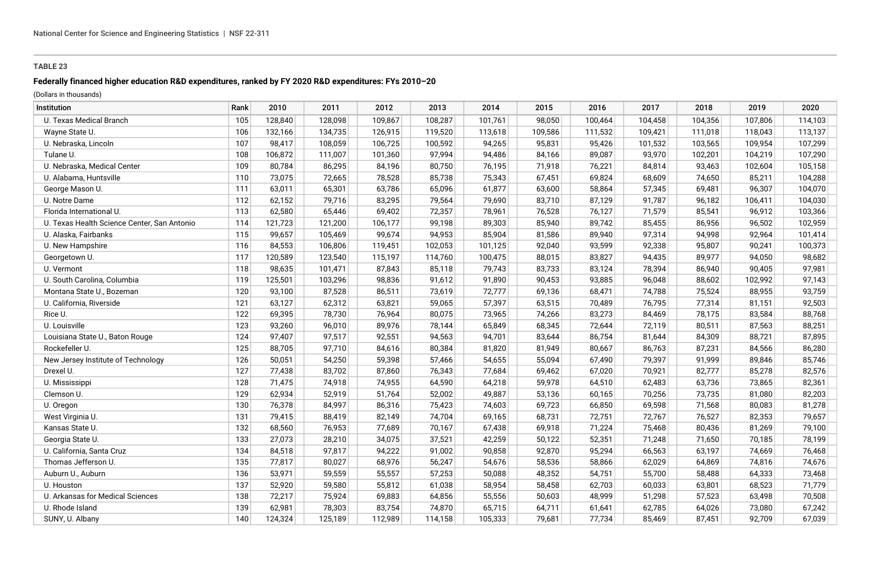## **Federally financed higher education R&D expenditures, ranked by FY 2020 R&D expenditures: FYs 2010–20**

| Institution                                 | Rank | 2010    | 2011    | 2012    | 2013    | 2014    | 2015    | 2016    | 2017    | 2018    | 2019    | 2020    |
|---------------------------------------------|------|---------|---------|---------|---------|---------|---------|---------|---------|---------|---------|---------|
| U. Texas Medical Branch                     | 105  | 128,840 | 128,098 | 109,867 | 108,287 | 101,761 | 98,050  | 100,464 | 104,458 | 104,356 | 107,806 | 114,103 |
| Wayne State U.                              | 106  | 132,166 | 134,735 | 126,915 | 119,520 | 113,618 | 109,586 | 111,532 | 109,421 | 111,018 | 118,043 | 113,137 |
| U. Nebraska, Lincoln                        | 107  | 98,417  | 108,059 | 106,725 | 100,592 | 94,265  | 95,831  | 95,426  | 101,532 | 103,565 | 109,954 | 107,299 |
| Tulane U.                                   | 108  | 106,872 | 111,007 | 101,360 | 97,994  | 94,486  | 84,166  | 89,087  | 93,970  | 102,201 | 104,219 | 107,290 |
| U. Nebraska, Medical Center                 | 109  | 80,784  | 86,295  | 84,196  | 80,750  | 76,195  | 71,918  | 76,221  | 84,814  | 93,463  | 102,604 | 105,158 |
| U. Alabama, Huntsville                      | 110  | 73,075  | 72,665  | 78,528  | 85,738  | 75,343  | 67,451  | 69,824  | 68,609  | 74,650  | 85,211  | 104,288 |
| George Mason U.                             | 111  | 63,011  | 65,301  | 63,786  | 65,096  | 61,877  | 63,600  | 58,864  | 57,345  | 69,481  | 96,307  | 104,070 |
| U. Notre Dame                               | 112  | 62,152  | 79,716  | 83,295  | 79,564  | 79,690  | 83,710  | 87,129  | 91,787  | 96,182  | 106,411 | 104,030 |
| Florida International U.                    | 113  | 62,580  | 65,446  | 69,402  | 72,357  | 78,961  | 76,528  | 76,127  | 71,579  | 85,541  | 96,912  | 103,366 |
| U. Texas Health Science Center, San Antonio | 114  | 121,723 | 121,200 | 106,177 | 99,198  | 89,303  | 85,940  | 89,742  | 85,455  | 86,956  | 96,502  | 102,959 |
| U. Alaska, Fairbanks                        | 115  | 99,657  | 105,469 | 99,674  | 94,953  | 85,904  | 81,586  | 89,940  | 97,314  | 94,998  | 92,964  | 101,414 |
| U. New Hampshire                            | 116  | 84,553  | 106,806 | 119,451 | 102,053 | 101,125 | 92,040  | 93,599  | 92,338  | 95,807  | 90,241  | 100,373 |
| Georgetown U.                               | 117  | 120,589 | 123,540 | 115,197 | 114,760 | 100,475 | 88,015  | 83,827  | 94,435  | 89,977  | 94,050  | 98,682  |
| U. Vermont                                  | 118  | 98,635  | 101,471 | 87,843  | 85,118  | 79,743  | 83,733  | 83,124  | 78,394  | 86,940  | 90,405  | 97,981  |
| U. South Carolina, Columbia                 | 119  | 125,501 | 103,296 | 98,836  | 91,612  | 91,890  | 90,453  | 93,885  | 96,048  | 88,602  | 102,992 | 97,143  |
| Montana State U., Bozeman                   | 120  | 93,100  | 87,528  | 86,511  | 73,619  | 72,777  | 69,136  | 68,471  | 74,788  | 75,524  | 88,955  | 93,759  |
| U. California, Riverside                    | 121  | 63,127  | 62,312  | 63,821  | 59,065  | 57,397  | 63,515  | 70,489  | 76,795  | 77,314  | 81,151  | 92,503  |
| Rice U.                                     | 122  | 69,395  | 78,730  | 76,964  | 80,075  | 73,965  | 74,266  | 83,273  | 84,469  | 78,175  | 83,584  | 88,768  |
| U. Louisville                               | 123  | 93,260  | 96,010  | 89,976  | 78,144  | 65,849  | 68,345  | 72,644  | 72,119  | 80,511  | 87,563  | 88,251  |
| Louisiana State U., Baton Rouge             | 124  | 97,407  | 97,517  | 92,551  | 94,563  | 94,701  | 83,644  | 86,754  | 81,644  | 84,309  | 88,721  | 87,895  |
| Rockefeller U.                              | 125  | 88,705  | 97,710  | 84,616  | 80,384  | 81,820  | 81,949  | 80,667  | 86,763  | 87,231  | 84,566  | 86,280  |
| New Jersey Institute of Technology          | 126  | 50,051  | 54,250  | 59,398  | 57,466  | 54,655  | 55,094  | 67,490  | 79,397  | 91,999  | 89,846  | 85,746  |
| Drexel U.                                   | 127  | 77,438  | 83,702  | 87,860  | 76,343  | 77,684  | 69,462  | 67,020  | 70,921  | 82,777  | 85,278  | 82,576  |
| U. Mississippi                              | 128  | 71,475  | 74,918  | 74,955  | 64,590  | 64,218  | 59,978  | 64,510  | 62,483  | 63,736  | 73,865  | 82,361  |
| Clemson U.                                  | 129  | 62,934  | 52,919  | 51,764  | 52,002  | 49,887  | 53,136  | 60,165  | 70,256  | 73,735  | 81,080  | 82,203  |
| U. Oregon                                   | 130  | 76,378  | 84,997  | 86,316  | 75,423  | 74,603  | 69,723  | 66,850  | 69,598  | 71,568  | 80,083  | 81,278  |
| West Virginia U.                            | 131  | 79,415  | 88,419  | 82,149  | 74,704  | 69,165  | 68,731  | 72,751  | 72,767  | 76,527  | 82,353  | 79,657  |
| Kansas State U.                             | 132  | 68,560  | 76,953  | 77,689  | 70,167  | 67,438  | 69,918  | 71,224  | 75,468  | 80,436  | 81,269  | 79,100  |
| Georgia State U.                            | 133  | 27,073  | 28,210  | 34,075  | 37,521  | 42,259  | 50,122  | 52,351  | 71,248  | 71,650  | 70,185  | 78,199  |
| U. California, Santa Cruz                   | 134  | 84,518  | 97,817  | 94,222  | 91,002  | 90,858  | 92,870  | 95,294  | 66,563  | 63,197  | 74,669  | 76,468  |
| Thomas Jefferson U.                         | 135  | 77,817  | 80,027  | 68,976  | 56,247  | 54,676  | 58,536  | 58,866  | 62,029  | 64,869  | 74,816  | 74,676  |
| Auburn U., Auburn                           | 136  | 53,971  | 59,559  | 55,557  | 57,253  | 50,088  | 48,352  | 54,751  | 55,700  | 58,488  | 64,333  | 73,468  |
| U. Houston                                  | 137  | 52,920  | 59,580  | 55,812  | 61,038  | 58,954  | 58,458  | 62,703  | 60,033  | 63,801  | 68,523  | 71,779  |
| U. Arkansas for Medical Sciences            | 138  | 72,217  | 75,924  | 69,883  | 64,856  | 55,556  | 50,603  | 48,999  | 51,298  | 57,523  | 63,498  | 70,508  |
| U. Rhode Island                             | 139  | 62,981  | 78,303  | 83,754  | 74,870  | 65,715  | 64,711  | 61,641  | 62,785  | 64,026  | 73,080  | 67,242  |
| SUNY, U. Albany                             | 140  | 124,324 | 125,189 | 112,989 | 114,158 | 105,333 | 79,681  | 77,734  | 85,469  | 87,451  | 92,709  | 67,039  |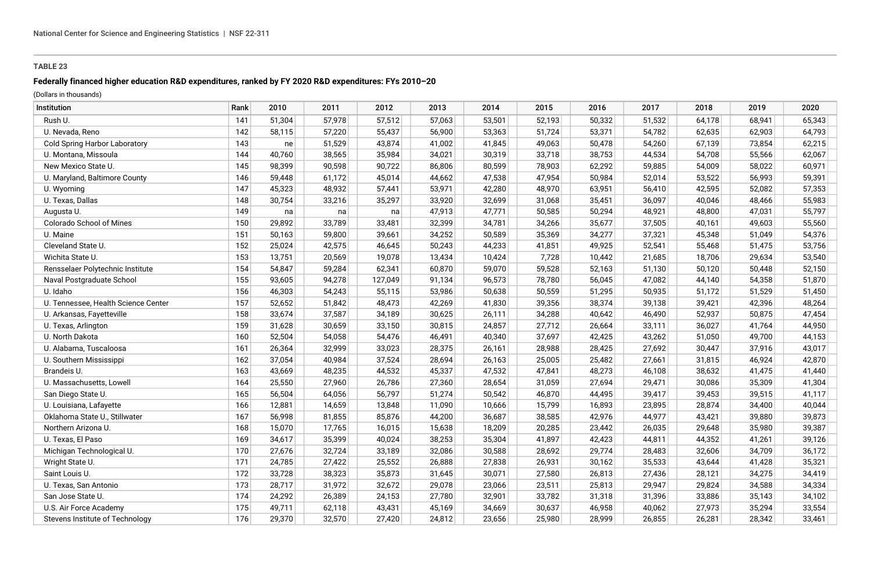## **Federally financed higher education R&D expenditures, ranked by FY 2020 R&D expenditures: FYs 2010–20**

| Institution                          | Rank | 2010   | 2011   | 2012    | 2013   | 2014   | 2015   | 2016   | 2017   | 2018   | 2019   | 2020   |
|--------------------------------------|------|--------|--------|---------|--------|--------|--------|--------|--------|--------|--------|--------|
| Rush U.                              | 141  | 51,304 | 57,978 | 57,512  | 57,063 | 53,501 | 52,193 | 50,332 | 51,532 | 64,178 | 68,941 | 65,343 |
| U. Nevada, Reno                      | 142  | 58,115 | 57,220 | 55,437  | 56,900 | 53,363 | 51,724 | 53,371 | 54,782 | 62,635 | 62,903 | 64,793 |
| <b>Cold Spring Harbor Laboratory</b> | 143  | ne     | 51,529 | 43,874  | 41,002 | 41,845 | 49,063 | 50,478 | 54,260 | 67,139 | 73,854 | 62,215 |
| U. Montana, Missoula                 | 144  | 40,760 | 38,565 | 35,984  | 34,021 | 30,319 | 33,718 | 38,753 | 44,534 | 54,708 | 55,566 | 62,067 |
| New Mexico State U.                  | 145  | 98,399 | 90,598 | 90,722  | 86,806 | 80,599 | 78,903 | 62,292 | 59,885 | 54,009 | 58,022 | 60,971 |
| U. Maryland, Baltimore County        | 146  | 59,448 | 61,172 | 45,014  | 44,662 | 47,538 | 47,954 | 50,984 | 52,014 | 53,522 | 56,993 | 59,391 |
| U. Wyoming                           | 147  | 45,323 | 48,932 | 57,441  | 53,971 | 42,280 | 48,970 | 63,951 | 56,410 | 42,595 | 52,082 | 57,353 |
| U. Texas, Dallas                     | 148  | 30,754 | 33,216 | 35,297  | 33,920 | 32,699 | 31,068 | 35,451 | 36,097 | 40,046 | 48,466 | 55,983 |
| Augusta U.                           | 149  | na     | na     | na      | 47,913 | 47,771 | 50,585 | 50,294 | 48,921 | 48,800 | 47,031 | 55,797 |
| Colorado School of Mines             | 150  | 29,892 | 33,789 | 33,481  | 32,399 | 34,781 | 34,266 | 35,677 | 37,505 | 40,161 | 49,603 | 55,560 |
| U. Maine                             | 151  | 50,163 | 59,800 | 39,661  | 34,252 | 50,589 | 35,369 | 34,277 | 37,321 | 45,348 | 51,049 | 54,376 |
| Cleveland State U.                   | 152  | 25,024 | 42,575 | 46,645  | 50,243 | 44,233 | 41,851 | 49,925 | 52,541 | 55,468 | 51,475 | 53,756 |
| Wichita State U.                     | 153  | 13,751 | 20,569 | 19,078  | 13,434 | 10,424 | 7,728  | 10,442 | 21,685 | 18,706 | 29,634 | 53,540 |
| Rensselaer Polytechnic Institute     | 154  | 54,847 | 59,284 | 62,341  | 60,870 | 59,070 | 59,528 | 52,163 | 51,130 | 50,120 | 50,448 | 52,150 |
| Naval Postgraduate School            | 155  | 93,605 | 94,278 | 127,049 | 91,134 | 96,573 | 78,780 | 56,045 | 47,082 | 44,140 | 54,358 | 51,870 |
| U. Idaho                             | 156  | 46,303 | 54,243 | 55,115  | 53,986 | 50,638 | 50,559 | 51,295 | 50,935 | 51,172 | 51,529 | 51,450 |
| U. Tennessee, Health Science Center  | 157  | 52,652 | 51,842 | 48,473  | 42,269 | 41,830 | 39,356 | 38,374 | 39,138 | 39,421 | 42,396 | 48,264 |
| U. Arkansas, Fayetteville            | 158  | 33,674 | 37,587 | 34,189  | 30,625 | 26,111 | 34,288 | 40,642 | 46,490 | 52,937 | 50,875 | 47,454 |
| U. Texas, Arlington                  | 159  | 31,628 | 30,659 | 33,150  | 30,815 | 24,857 | 27,712 | 26,664 | 33,111 | 36,027 | 41,764 | 44,950 |
| U. North Dakota                      | 160  | 52,504 | 54,058 | 54,476  | 46,491 | 40,340 | 37,697 | 42,425 | 43,262 | 51,050 | 49,700 | 44,153 |
| U. Alabama, Tuscaloosa               | 161  | 26,364 | 32,999 | 33,023  | 28,375 | 26,161 | 28,988 | 28,425 | 27,692 | 30,447 | 37,916 | 43,017 |
| U. Southern Mississippi              | 162  | 37,054 | 40,984 | 37,524  | 28,694 | 26,163 | 25,005 | 25,482 | 27,661 | 31,815 | 46,924 | 42,870 |
| Brandeis U.                          | 163  | 43,669 | 48,235 | 44,532  | 45,337 | 47,532 | 47,841 | 48,273 | 46,108 | 38,632 | 41,475 | 41,440 |
| U. Massachusetts, Lowell             | 164  | 25,550 | 27,960 | 26,786  | 27,360 | 28,654 | 31,059 | 27,694 | 29,471 | 30,086 | 35,309 | 41,304 |
| San Diego State U.                   | 165  | 56,504 | 64,056 | 56,797  | 51,274 | 50,542 | 46,870 | 44,495 | 39,417 | 39,453 | 39,515 | 41,117 |
| U. Louisiana, Lafayette              | 166  | 12,881 | 14,659 | 13,848  | 11,090 | 10,666 | 15,799 | 16,893 | 23,895 | 28,874 | 34,400 | 40,044 |
| Oklahoma State U., Stillwater        | 167  | 56,998 | 81,855 | 85,876  | 44,200 | 36,687 | 38,585 | 42,976 | 44,977 | 43,421 | 39,880 | 39,873 |
| Northern Arizona U.                  | 168  | 15,070 | 17,765 | 16,015  | 15,638 | 18,209 | 20,285 | 23,442 | 26,035 | 29,648 | 35,980 | 39,387 |
| U. Texas, El Paso                    | 169  | 34,617 | 35,399 | 40,024  | 38,253 | 35,304 | 41,897 | 42,423 | 44,811 | 44,352 | 41,261 | 39,126 |
| Michigan Technological U.            | 170  | 27,676 | 32,724 | 33,189  | 32,086 | 30,588 | 28,692 | 29,774 | 28,483 | 32,606 | 34,709 | 36,172 |
| Wright State U.                      | 171  | 24,785 | 27,422 | 25,552  | 26,888 | 27,838 | 26,931 | 30,162 | 35,533 | 43,644 | 41,428 | 35,321 |
| Saint Louis U.                       | 172  | 33,728 | 38,323 | 35,873  | 31,645 | 30,071 | 27,580 | 26,813 | 27,436 | 28,121 | 34,275 | 34,419 |
| U. Texas, San Antonio                | 173  | 28,717 | 31,972 | 32,672  | 29,078 | 23,066 | 23,511 | 25,813 | 29,947 | 29,824 | 34,588 | 34,334 |
| San Jose State U.                    | 174  | 24,292 | 26,389 | 24,153  | 27,780 | 32,901 | 33,782 | 31,318 | 31,396 | 33,886 | 35,143 | 34,102 |
| U.S. Air Force Academy               | 175  | 49,711 | 62,118 | 43,431  | 45,169 | 34,669 | 30,637 | 46,958 | 40,062 | 27,973 | 35,294 | 33,554 |
| Stevens Institute of Technology      | 176  | 29,370 | 32,570 | 27,420  | 24,812 | 23,656 | 25,980 | 28,999 | 26,855 | 26,281 | 28,342 | 33,461 |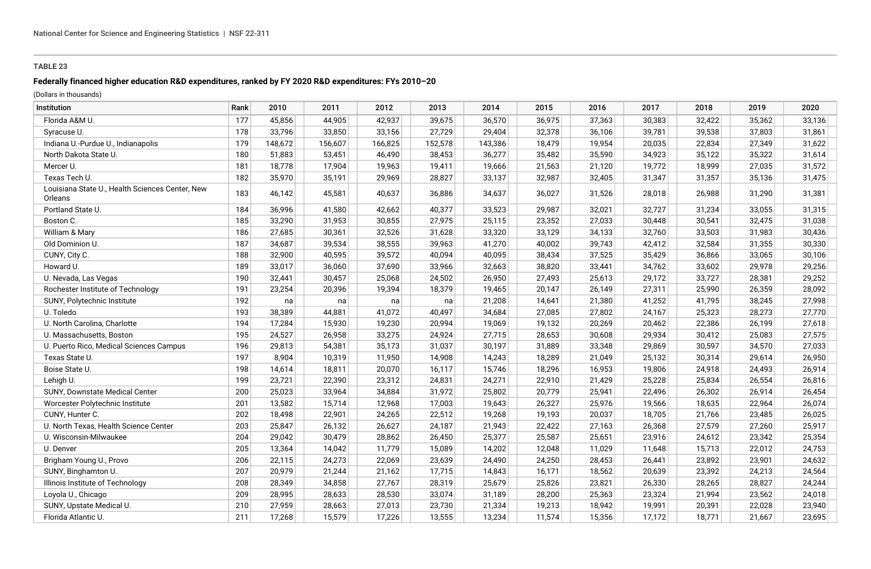# **Federally financed higher education R&D expenditures, ranked by FY 2020 R&D expenditures: FYs 2010–20**

| Institution                                                | Rank | 2010    | 2011    | 2012    | 2013    | 2014    | 2015   | 2016   | 2017   | 2018   | 2019   | 2020   |
|------------------------------------------------------------|------|---------|---------|---------|---------|---------|--------|--------|--------|--------|--------|--------|
| Florida A&M U.                                             | 177  | 45,856  | 44,905  | 42,937  | 39,675  | 36,570  | 36,975 | 37,363 | 30,383 | 32,422 | 35,362 | 33,136 |
| Syracuse U.                                                | 178  | 33,796  | 33,850  | 33,156  | 27,729  | 29,404  | 32,378 | 36,106 | 39,781 | 39,538 | 37,803 | 31,861 |
| Indiana U.-Purdue U., Indianapolis                         | 179  | 148,672 | 156,607 | 166,825 | 152,578 | 143,386 | 18,479 | 19,954 | 20,035 | 22,834 | 27,349 | 31,622 |
| North Dakota State U.                                      | 180  | 51,883  | 53,451  | 46,490  | 38,453  | 36,277  | 35,482 | 35,590 | 34,923 | 35,122 | 35,322 | 31,614 |
| Mercer U.                                                  | 181  | 18,778  | 17,904  | 19,963  | 19,411  | 19,666  | 21,563 | 21,120 | 19,772 | 18,999 | 27,035 | 31,572 |
| Texas Tech U.                                              | 182  | 35,970  | 35,191  | 29,969  | 28,827  | 33,137  | 32,987 | 32,405 | 31,347 | 31,357 | 35,136 | 31,475 |
| Louisiana State U., Health Sciences Center, New<br>Orleans | 183  | 46,142  | 45,581  | 40,637  | 36,886  | 34,637  | 36,027 | 31,526 | 28,018 | 26,988 | 31,290 | 31,381 |
| Portland State U.                                          | 184  | 36,996  | 41,580  | 42,662  | 40,377  | 33,523  | 29,987 | 32,021 | 32,727 | 31,234 | 33,055 | 31,315 |
| Boston C.                                                  | 185  | 33,290  | 31,953  | 30,855  | 27,975  | 25,115  | 23,352 | 27,033 | 30,448 | 30,541 | 32,475 | 31,038 |
| William & Mary                                             | 186  | 27,685  | 30,361  | 32,526  | 31,628  | 33,320  | 33,129 | 34,133 | 32,760 | 33,503 | 31,983 | 30,436 |
| Old Dominion U.                                            | 187  | 34,687  | 39,534  | 38,555  | 39,963  | 41,270  | 40,002 | 39,743 | 42,412 | 32,584 | 31,355 | 30,330 |
| CUNY, City C.                                              | 188  | 32,900  | 40,595  | 39,572  | 40,094  | 40,095  | 38,434 | 37,525 | 35,429 | 36,866 | 33,065 | 30,106 |
| Howard U.                                                  | 189  | 33,017  | 36,060  | 37,690  | 33,966  | 32,663  | 38,820 | 33,441 | 34,762 | 33,602 | 29,978 | 29,256 |
| U. Nevada, Las Vegas                                       | 190  | 32,441  | 30,457  | 25,068  | 24,502  | 26,950  | 27,493 | 25,613 | 29,172 | 33,727 | 28,381 | 29,252 |
| Rochester Institute of Technology                          | 191  | 23,254  | 20,396  | 19,394  | 18,379  | 19,465  | 20,147 | 26,149 | 27,311 | 25,990 | 26,359 | 28,092 |
| SUNY, Polytechnic Institute                                | 192  | na      | na      | na      | na      | 21,208  | 14,641 | 21,380 | 41,252 | 41,795 | 38,245 | 27,998 |
| U. Toledo                                                  | 193  | 38,389  | 44,881  | 41,072  | 40,497  | 34,684  | 27,085 | 27,802 | 24,167 | 25,323 | 28,273 | 27,770 |
| U. North Carolina, Charlotte                               | 194  | 17,284  | 15,930  | 19,230  | 20,994  | 19,069  | 19,132 | 20,269 | 20,462 | 22,386 | 26,199 | 27,618 |
| U. Massachusetts, Boston                                   | 195  | 24,527  | 26,958  | 33,275  | 24,924  | 27,715  | 28,653 | 30,608 | 29,934 | 30,412 | 25,083 | 27,575 |
| U. Puerto Rico, Medical Sciences Campus                    | 196  | 29,813  | 54,381  | 35,173  | 31,037  | 30,197  | 31,889 | 33,348 | 29,869 | 30,597 | 34,570 | 27,033 |
| Texas State U.                                             | 197  | 8,904   | 10,319  | 11,950  | 14,908  | 14,243  | 18,289 | 21,049 | 25,132 | 30,314 | 29,614 | 26,950 |
| Boise State U.                                             | 198  | 14,614  | 18,811  | 20,070  | 16,117  | 15,746  | 18,296 | 16,953 | 19,806 | 24,918 | 24,493 | 26,914 |
| Lehigh U.                                                  | 199  | 23,721  | 22,390  | 23,312  | 24,831  | 24,271  | 22,910 | 21,429 | 25,228 | 25,834 | 26,554 | 26,816 |
| SUNY, Downstate Medical Center                             | 200  | 25,023  | 33,964  | 34,884  | 31,972  | 25,802  | 20,779 | 25,941 | 22,496 | 26,302 | 26,914 | 26,454 |
| Worcester Polytechnic Institute                            | 201  | 13,582  | 15,714  | 12,968  | 17,003  | 19,643  | 26,327 | 25,976 | 19,566 | 18,635 | 22,964 | 26,074 |
| CUNY, Hunter C.                                            | 202  | 18,498  | 22,901  | 24,265  | 22,512  | 19,268  | 19,193 | 20,037 | 18,705 | 21,766 | 23,485 | 26,025 |
| U. North Texas, Health Science Center                      | 203  | 25,847  | 26,132  | 26,627  | 24,187  | 21,943  | 22,422 | 27,163 | 26,368 | 27,579 | 27,260 | 25,917 |
| U. Wisconsin-Milwaukee                                     | 204  | 29,042  | 30,479  | 28,862  | 26,450  | 25,377  | 25,587 | 25,651 | 23,916 | 24,612 | 23,342 | 25,354 |
| U. Denver                                                  | 205  | 13,364  | 14,042  | 11,779  | 15,089  | 14,202  | 12,048 | 11,029 | 11,648 | 15,713 | 22,012 | 24,753 |
| Brigham Young U., Provo                                    | 206  | 22,115  | 24,273  | 22,069  | 23,639  | 24,490  | 24,250 | 28,453 | 26,441 | 23,892 | 23,901 | 24,632 |
| SUNY, Binghamton U.                                        | 207  | 20,979  | 21,244  | 21,162  | 17,715  | 14,843  | 16,171 | 18,562 | 20,639 | 23,392 | 24,213 | 24,564 |
| Illinois Institute of Technology                           | 208  | 28,349  | 34,858  | 27,767  | 28,319  | 25,679  | 25,826 | 23,821 | 26,330 | 28,265 | 28,827 | 24,244 |
| Loyola U., Chicago                                         | 209  | 28,995  | 28,633  | 28,530  | 33,074  | 31,189  | 28,200 | 25,363 | 23,324 | 21,994 | 23,562 | 24,018 |
| SUNY, Upstate Medical U.                                   | 210  | 27,959  | 28,663  | 27,013  | 23,730  | 21,334  | 19,213 | 18,942 | 19,991 | 20,391 | 22,028 | 23,940 |
| Florida Atlantic U.                                        | 211  | 17,268  | 15,579  | 17,226  | 13,555  | 13,234  | 11,574 | 15,356 | 17,172 | 18,771 | 21,667 | 23,695 |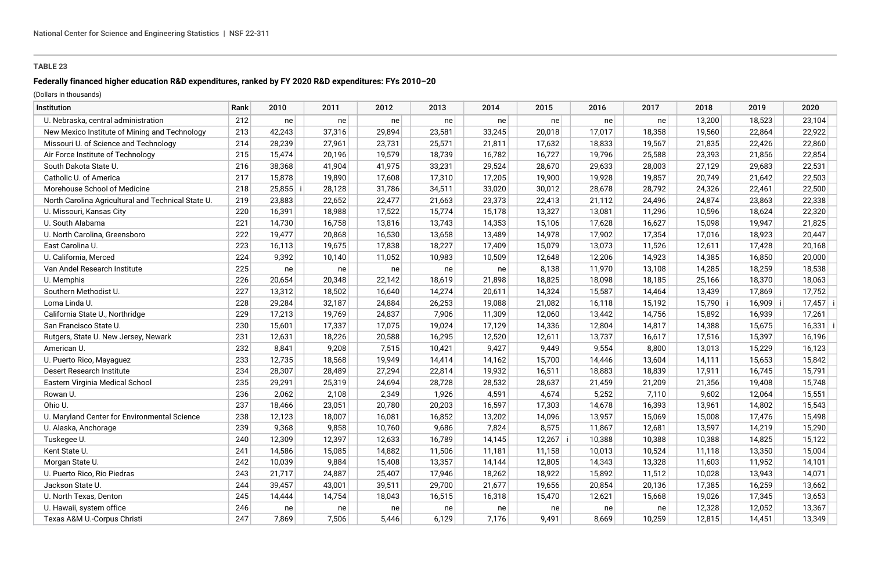# **Federally financed higher education R&D expenditures, ranked by FY 2020 R&D expenditures: FYs 2010–20**

| Institution                                        | Rank | 2010   | 2011   | 2012   | 2013   | 2014   | 2015       | 2016   | 2017   | 2018     | 2019       | 2020       |
|----------------------------------------------------|------|--------|--------|--------|--------|--------|------------|--------|--------|----------|------------|------------|
| U. Nebraska, central administration                | 212  | ne     | ne     | ne     | ne     | ne     | ne         | ne     | ne     | 13,200   | 18,523     | 23,104     |
| New Mexico Institute of Mining and Technology      | 213  | 42,243 | 37,316 | 29,894 | 23,581 | 33,245 | 20,018     | 17,017 | 18,358 | 19,560   | 22,864     | 22,922     |
| Missouri U. of Science and Technology              | 214  | 28,239 | 27,961 | 23,731 | 25,571 | 21,811 | 17,632     | 18,833 | 19,567 | 21,835   | 22,426     | 22,860     |
| Air Force Institute of Technology                  | 215  | 15,474 | 20,196 | 19,579 | 18,739 | 16,782 | 16,727     | 19,796 | 25,588 | 23,393   | 21,856     | 22,854     |
| South Dakota State U.                              | 216  | 38,368 | 41,904 | 41,975 | 33,231 | 29,524 | 28,670     | 29,633 | 28,003 | 27,129   | 29,683     | 22,531     |
| Catholic U. of America                             | 217  | 15,878 | 19,890 | 17,608 | 17,310 | 17,205 | 19,900     | 19,928 | 19,857 | 20,749   | 21,642     | 22,503     |
| Morehouse School of Medicine                       | 218  | 25,855 | 28,128 | 31,786 | 34,511 | 33,020 | 30,012     | 28,678 | 28,792 | 24,326   | 22,461     | 22,500     |
| North Carolina Agricultural and Technical State U. | 219  | 23,883 | 22,652 | 22,477 | 21,663 | 23,373 | 22,413     | 21,112 | 24,496 | 24,874   | 23,863     | 22,338     |
| U. Missouri, Kansas City                           | 220  | 16,391 | 18,988 | 17,522 | 15,774 | 15,178 | 13,327     | 13,081 | 11,296 | 10,596   | 18,624     | 22,320     |
| U. South Alabama                                   | 221  | 14,730 | 16,758 | 13,816 | 13,743 | 14,353 | 15,106     | 17,628 | 16,627 | 15,098   | 19,947     | 21,825     |
| U. North Carolina, Greensboro                      | 222  | 19,477 | 20,868 | 16,530 | 13,658 | 13,489 | 14,978     | 17,902 | 17,354 | 17,016   | 18,923     | 20,447     |
| East Carolina U.                                   | 223  | 16,113 | 19,675 | 17,838 | 18,227 | 17,409 | 15,079     | 13,073 | 11,526 | 12,611   | 17,428     | 20,168     |
| U. California, Merced                              | 224  | 9,392  | 10,140 | 11,052 | 10,983 | 10,509 | 12,648     | 12,206 | 14,923 | 14,385   | 16,850     | 20,000     |
| Van Andel Research Institute                       | 225  | ne     | ne     | ne     | ne     | ne     | 8,138      | 11,970 | 13,108 | 14,285   | 18,259     | 18,538     |
| U. Memphis                                         | 226  | 20,654 | 20,348 | 22,142 | 18,619 | 21,898 | 18,825     | 18,098 | 18,185 | 25,166   | 18,370     | 18,063     |
| Southern Methodist U.                              | 227  | 13,312 | 18,502 | 16,640 | 14,274 | 20,611 | 14,324     | 15,587 | 14,464 | 13,439   | 17,869     | 17,752     |
| Loma Linda U.                                      | 228  | 29,284 | 32,187 | 24,884 | 26,253 | 19,088 | 21,082     | 16,118 | 15,192 | 15,790 i | $16,909$ i | $17,457$ i |
| California State U., Northridge                    | 229  | 17,213 | 19,769 | 24,837 | 7,906  | 11,309 | 12,060     | 13,442 | 14,756 | 15,892   | 16,939     | 17,261     |
| San Francisco State U.                             | 230  | 15,601 | 17,337 | 17,075 | 19,024 | 17,129 | 14,336     | 12,804 | 14,817 | 14,388   | 15,675     | $16,331$ i |
| Rutgers, State U. New Jersey, Newark               | 231  | 12,631 | 18,226 | 20,588 | 16,295 | 12,520 | 12,611     | 13,737 | 16,617 | 17,516   | 15,397     | 16,196     |
| American U.                                        | 232  | 8,841  | 9,208  | 7,515  | 10,421 | 9,427  | 9,449      | 9,554  | 8,800  | 13,013   | 15,229     | 16,123     |
| U. Puerto Rico, Mayaguez                           | 233  | 12,735 | 18,568 | 19,949 | 14,414 | 14,162 | 15,700     | 14,446 | 13,604 | 14,111   | 15,653     | 15,842     |
| Desert Research Institute                          | 234  | 28,307 | 28,489 | 27,294 | 22,814 | 19,932 | 16,511     | 18,883 | 18,839 | 17,911   | 16,745     | 15,791     |
| Eastern Virginia Medical School                    | 235  | 29,291 | 25,319 | 24,694 | 28,728 | 28,532 | 28,637     | 21,459 | 21,209 | 21,356   | 19,408     | 15,748     |
| Rowan U.                                           | 236  | 2,062  | 2,108  | 2,349  | 1,926  | 4,591  | 4,674      | 5,252  | 7,110  | 9,602    | 12,064     | 15,551     |
| Ohio U.                                            | 237  | 18,466 | 23,051 | 20,780 | 20,203 | 16,597 | 17,303     | 14,678 | 16,393 | 13,961   | 14,802     | 15,543     |
| U. Maryland Center for Environmental Science       | 238  | 12,123 | 18,007 | 16,081 | 16,852 | 13,202 | 14,096     | 13,957 | 15,069 | 15,008   | 17,476     | 15,498     |
| U. Alaska, Anchorage                               | 239  | 9,368  | 9,858  | 10,760 | 9,686  | 7,824  | 8,575      | 11,867 | 12,681 | 13,597   | 14,219     | 15,290     |
| Tuskegee U.                                        | 240  | 12,309 | 12,397 | 12,633 | 16,789 | 14,145 | $12,267$ i | 10,388 | 10,388 | 10,388   | 14,825     | 15,122     |
| Kent State U.                                      | 241  | 14,586 | 15,085 | 14,882 | 11,506 | 11,181 | 11,158     | 10,013 | 10,524 | 11,118   | 13,350     | 15,004     |
| Morgan State U.                                    | 242  | 10,039 | 9,884  | 15,408 | 13,357 | 14,144 | 12,805     | 14,343 | 13,328 | 11,603   | 11,952     | 14,101     |
| U. Puerto Rico, Rio Piedras                        | 243  | 21,717 | 24,887 | 25,407 | 17,946 | 18,262 | 18,922     | 15,892 | 11,512 | 10,028   | 13,943     | 14,071     |
| Jackson State U.                                   | 244  | 39,457 | 43,001 | 39,511 | 29,700 | 21,677 | 19,656     | 20,854 | 20,136 | 17,385   | 16,259     | 13,662     |
| U. North Texas, Denton                             | 245  | 14,444 | 14,754 | 18,043 | 16,515 | 16,318 | 15,470     | 12,621 | 15,668 | 19,026   | 17,345     | 13,653     |
| U. Hawaii, system office                           | 246  | ne     | ne     | ne     | ne     | ne     | ne         | ne     | ne     | 12,328   | 12,052     | 13,367     |
| Texas A&M U.-Corpus Christi                        | 247  | 7.869  | 7,506  | 5,446  | 6,129  | 7,176  | 9.491      | 8.669  | 10,259 | 12,815   | 14,451     | 13,349     |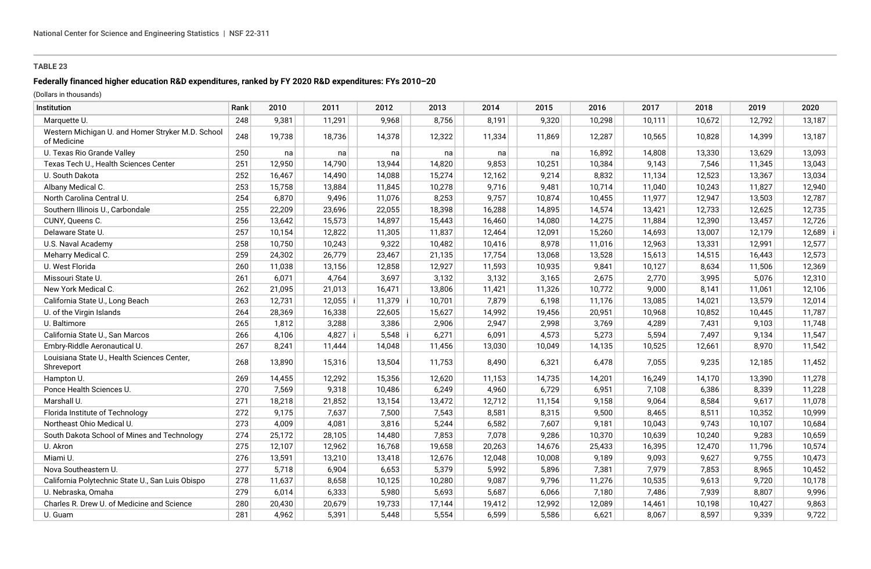# **Federally financed higher education R&D expenditures, ranked by FY 2020 R&D expenditures: FYs 2010–20**

| Institution                                                      | Rank | 2010   | 2011       | 2012       | 2013   | 2014   | 2015   | 2016   | 2017   | 2018   | 2019   | 2020   |
|------------------------------------------------------------------|------|--------|------------|------------|--------|--------|--------|--------|--------|--------|--------|--------|
| Marquette U.                                                     | 248  | 9,381  | 11,291     | 9,968      | 8,756  | 8,191  | 9,320  | 10,298 | 10,111 | 10,672 | 12,792 | 13,187 |
| Western Michigan U. and Homer Stryker M.D. School<br>of Medicine | 248  | 19,738 | 18,736     | 14,378     | 12,322 | 11,334 | 11,869 | 12,287 | 10,565 | 10,828 | 14,399 | 13,187 |
| U. Texas Rio Grande Valley                                       | 250  | na     | na         | na         | na     | na     | na     | 16,892 | 14,808 | 13,330 | 13,629 | 13,093 |
| Texas Tech U., Health Sciences Center                            | 251  | 12,950 | 14,790     | 13,944     | 14,820 | 9,853  | 10,251 | 10,384 | 9.143  | 7,546  | 11,345 | 13,043 |
| U. South Dakota                                                  | 252  | 16,467 | 14,490     | 14,088     | 15,274 | 12,162 | 9,214  | 8,832  | 11,134 | 12,523 | 13,367 | 13,034 |
| Albany Medical C.                                                | 253  | 15,758 | 13,884     | 11,845     | 10,278 | 9,716  | 9,481  | 10,714 | 11,040 | 10,243 | 11,827 | 12,940 |
| North Carolina Central U.                                        | 254  | 6,870  | 9,496      | 11,076     | 8,253  | 9,757  | 10,874 | 10,455 | 11,977 | 12,947 | 13,503 | 12,787 |
| Southern Illinois U., Carbondale                                 | 255  | 22,209 | 23,696     | 22,055     | 18,398 | 16,288 | 14,895 | 14,574 | 13,421 | 12,733 | 12,625 | 12,735 |
| CUNY, Queens C.                                                  | 256  | 13,642 | 15,573     | 14,897     | 15,443 | 16,460 | 14,080 | 14,275 | 11,884 | 12,390 | 13,457 | 12,726 |
| Delaware State U.                                                | 257  | 10,154 | 12,822     | 11,305     | 11,837 | 12,464 | 12,091 | 15,260 | 14,693 | 13,007 | 12,179 | 12,689 |
| U.S. Naval Academy                                               | 258  | 10,750 | 10,243     | 9,322      | 10,482 | 10,416 | 8,978  | 11,016 | 12,963 | 13,331 | 12,991 | 12,577 |
| Meharry Medical C.                                               | 259  | 24,302 | 26,779     | 23,467     | 21,135 | 17,754 | 13,068 | 13,528 | 15,613 | 14,515 | 16,443 | 12,573 |
| U. West Florida                                                  | 260  | 11,038 | 13,156     | 12,858     | 12,927 | 11,593 | 10,935 | 9,841  | 10,127 | 8,634  | 11,506 | 12,369 |
| Missouri State U.                                                | 261  | 6,071  | 4,764      | 3,697      | 3,132  | 3,132  | 3,165  | 2,675  | 2,770  | 3,995  | 5,076  | 12,310 |
| New York Medical C.                                              | 262  | 21,095 | 21,013     | 16,471     | 13,806 | 11,421 | 11,326 | 10,772 | 9,000  | 8,141  | 11,061 | 12,106 |
| California State U., Long Beach                                  | 263  | 12,731 | $12,055$ i | $11,379$ i | 10,701 | 7,879  | 6,198  | 11,176 | 13,085 | 14,021 | 13,579 | 12,014 |
| U. of the Virgin Islands                                         | 264  | 28,369 | 16,338     | 22,605     | 15,627 | 14,992 | 19,456 | 20,951 | 10,968 | 10,852 | 10,445 | 11,787 |
| U. Baltimore                                                     | 265  | 1,812  | 3,288      | 3,386      | 2,906  | 2,947  | 2,998  | 3,769  | 4,289  | 7,431  | 9,103  | 11,748 |
| California State U., San Marcos                                  | 266  | 4,106  | $4,827$ i  | $5,548$ i  | 6,271  | 6,091  | 4,573  | 5,273  | 5,594  | 7,497  | 9,134  | 11,547 |
| Embry-Riddle Aeronautical U.                                     | 267  | 8,241  | 11,444     | 14,048     | 11,456 | 13,030 | 10,049 | 14,135 | 10,525 | 12,661 | 8,970  | 11,542 |
| Louisiana State U., Health Sciences Center,<br>Shreveport        | 268  | 13,890 | 15,316     | 13,504     | 11,753 | 8,490  | 6,321  | 6,478  | 7,055  | 9,235  | 12,185 | 11,452 |
| Hampton U.                                                       | 269  | 14,455 | 12,292     | 15,356     | 12,620 | 11,153 | 14,735 | 14,201 | 16,249 | 14,170 | 13,390 | 11,278 |
| Ponce Health Sciences U.                                         | 270  | 7,569  | 9,318      | 10,486     | 6,249  | 4,960  | 6,729  | 6,951  | 7,108  | 6,386  | 8,339  | 11,228 |
| Marshall U.                                                      | 271  | 18,218 | 21,852     | 13,154     | 13,472 | 12,712 | 11,154 | 9,158  | 9,064  | 8,584  | 9,617  | 11,078 |
| Florida Institute of Technology                                  | 272  | 9,175  | 7,637      | 7,500      | 7,543  | 8,581  | 8,315  | 9,500  | 8,465  | 8,511  | 10,352 | 10,999 |
| Northeast Ohio Medical U.                                        | 273  | 4,009  | 4,081      | 3,816      | 5,244  | 6,582  | 7,607  | 9,181  | 10,043 | 9,743  | 10,107 | 10,684 |
| South Dakota School of Mines and Technology                      | 274  | 25,172 | 28,105     | 14,480     | 7,853  | 7,078  | 9,286  | 10,370 | 10,639 | 10,240 | 9,283  | 10,659 |
| U. Akron                                                         | 275  | 12,107 | 12,962     | 16,768     | 19,658 | 20,263 | 14,676 | 25,433 | 16,395 | 12,470 | 11,796 | 10,574 |
| Miami U.                                                         | 276  | 13,591 | 13,210     | 13,418     | 12,676 | 12,048 | 10,008 | 9,189  | 9,093  | 9,627  | 9,755  | 10,473 |
| Nova Southeastern U.                                             | 277  | 5,718  | 6,904      | 6,653      | 5,379  | 5,992  | 5,896  | 7,381  | 7,979  | 7,853  | 8,965  | 10,452 |
| California Polytechnic State U., San Luis Obispo                 | 278  | 11,637 | 8,658      | 10,125     | 10,280 | 9,087  | 9,796  | 11,276 | 10,535 | 9,613  | 9,720  | 10,178 |
| U. Nebraska, Omaha                                               | 279  | 6,014  | 6,333      | 5,980      | 5,693  | 5,687  | 6,066  | 7,180  | 7,486  | 7,939  | 8,807  | 9,996  |
| Charles R. Drew U. of Medicine and Science                       | 280  | 20,430 | 20,679     | 19,733     | 17,144 | 19,412 | 12,992 | 12,089 | 14,461 | 10,198 | 10,427 | 9,863  |
| U. Guam                                                          | 281  | 4,962  | 5,391      | 5,448      | 5,554  | 6,599  | 5,586  | 6,621  | 8,067  | 8,597  | 9,339  | 9,722  |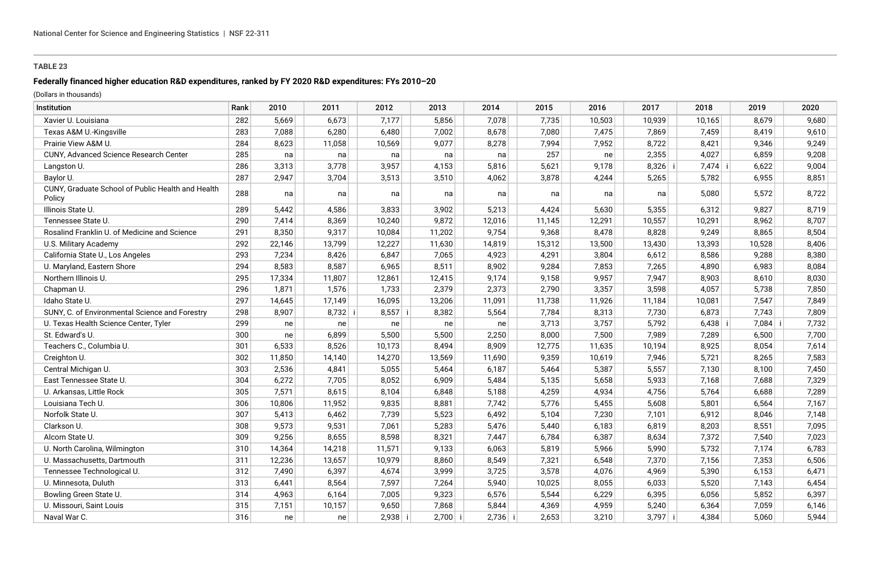# **Federally financed higher education R&D expenditures, ranked by FY 2020 R&D expenditures: FYs 2010–20**

| Institution                                                 | Rank | 2010   | 2011   | 2012      | 2013      | 2014      | 2015   | 2016   | 2017      | 2018    | 2019    | 2020  |
|-------------------------------------------------------------|------|--------|--------|-----------|-----------|-----------|--------|--------|-----------|---------|---------|-------|
| Xavier U. Louisiana                                         | 282  | 5,669  | 6,673  | 7,177     | 5,856     | 7,078     | 7,735  | 10,503 | 10,939    | 10,165  | 8,679   | 9,680 |
| Texas A&M U.-Kingsville                                     | 283  | 7,088  | 6,280  | 6,480     | 7,002     | 8,678     | 7,080  | 7,475  | 7,869     | 7,459   | 8,419   | 9,610 |
| Prairie View A&M U.                                         | 284  | 8,623  | 11,058 | 10,569    | 9,077     | 8,278     | 7,994  | 7,952  | 8,722     | 8,421   | 9,346   | 9,249 |
| CUNY, Advanced Science Research Center                      | 285  | na     | na     | na        | na        | na        | 257    | ne     | 2,355     | 4,027   | 6,859   | 9,208 |
| Langston U.                                                 | 286  | 3,313  | 3,778  | 3,957     | 4,153     | 5,816     | 5,621  | 9,178  | $8,326$ i | 7,474 i | 6,622   | 9,004 |
| Baylor U.                                                   | 287  | 2,947  | 3,704  | 3,513     | 3,510     | 4,062     | 3,878  | 4,244  | 5,265     | 5,782   | 6,955   | 8,851 |
| CUNY, Graduate School of Public Health and Health<br>Policy | 288  | na     | na     | na        | na        | na        | na     | na     | na        | 5,080   | 5,572   | 8,722 |
| Illinois State U.                                           | 289  | 5,442  | 4,586  | 3,833     | 3,902     | 5,213     | 4,424  | 5,630  | 5,355     | 6,312   | 9,827   | 8,719 |
| Tennessee State U.                                          | 290  | 7,414  | 8,369  | 10,240    | 9,872     | 12,016    | 11,145 | 12,291 | 10,557    | 10,291  | 8,962   | 8,707 |
| Rosalind Franklin U. of Medicine and Science                | 291  | 8,350  | 9,317  | 10,084    | 11,202    | 9,754     | 9,368  | 8,478  | 8,828     | 9,249   | 8,865   | 8,504 |
| U.S. Military Academy                                       | 292  | 22,146 | 13,799 | 12,227    | 11,630    | 14,819    | 15,312 | 13,500 | 13,430    | 13,393  | 10,528  | 8,406 |
| California State U., Los Angeles                            | 293  | 7,234  | 8,426  | 6,847     | 7,065     | 4,923     | 4,291  | 3,804  | 6,612     | 8,586   | 9,288   | 8,380 |
| U. Maryland, Eastern Shore                                  | 294  | 8,583  | 8,587  | 6,965     | 8,511     | 8,902     | 9,284  | 7,853  | 7,265     | 4,890   | 6,983   | 8,084 |
| Northern Illinois U.                                        | 295  | 17,334 | 11,807 | 12,861    | 12,415    | 9,174     | 9,158  | 9,957  | 7,947     | 8,903   | 8,610   | 8,030 |
| Chapman U.                                                  | 296  | 1,871  | 1,576  | 1,733     | 2,379     | 2,373     | 2,790  | 3,357  | 3,598     | 4,057   | 5,738   | 7,850 |
| Idaho State U.                                              | 297  | 14,645 | 17,149 | 16,095    | 13,206    | 11,091    | 11,738 | 11,926 | 11,184    | 10,081  | 7,547   | 7,849 |
| SUNY, C. of Environmental Science and Forestry              | 298  | 8,907  | 8,732  | 8,557     | 8,382     | 5,564     | 7,784  | 8,313  | 7,730     | 6,873   | 7,743   | 7,809 |
| U. Texas Health Science Center, Tyler                       | 299  | ne     | ne     | ne        | ne        | ne        | 3,713  | 3,757  | 5,792     | 6,438   | 7,084 i | 7,732 |
| St. Edward's U.                                             | 300  | ne     | 6,899  | 5,500     | 5,500     | 2,250     | 8,000  | 7,500  | 7,989     | 7,289   | 6,500   | 7,700 |
| Teachers C., Columbia U.                                    | 301  | 6,533  | 8,526  | 10,173    | 8,494     | 8,909     | 12,775 | 11,635 | 10,194    | 8,925   | 8,054   | 7,614 |
| Creighton U.                                                | 302  | 11,850 | 14,140 | 14,270    | 13,569    | 11,690    | 9,359  | 10,619 | 7,946     | 5,721   | 8,265   | 7,583 |
| Central Michigan U.                                         | 303  | 2,536  | 4,841  | 5,055     | 5,464     | 6,187     | 5,464  | 5,387  | 5,557     | 7,130   | 8,100   | 7,450 |
| East Tennessee State U.                                     | 304  | 6,272  | 7,705  | 8,052     | 6,909     | 5,484     | 5,135  | 5,658  | 5,933     | 7,168   | 7,688   | 7,329 |
| U. Arkansas, Little Rock                                    | 305  | 7,571  | 8,615  | 8,104     | 6,848     | 5,188     | 4,259  | 4,934  | 4,756     | 5,764   | 6,688   | 7,289 |
| Louisiana Tech U.                                           | 306  | 10,806 | 11,952 | 9,835     | 8,881     | 7,742     | 5,776  | 5,455  | 5,608     | 5,801   | 6,564   | 7,167 |
| Norfolk State U.                                            | 307  | 5,413  | 6,462  | 7,739     | 5,523     | 6,492     | 5,104  | 7,230  | 7,101     | 6,912   | 8,046   | 7,148 |
| Clarkson U.                                                 | 308  | 9,573  | 9,531  | 7,061     | 5,283     | 5,476     | 5,440  | 6,183  | 6,819     | 8,203   | 8,551   | 7,095 |
| Alcorn State U.                                             | 309  | 9,256  | 8,655  | 8,598     | 8,321     | 7,447     | 6,784  | 6,387  | 8,634     | 7,372   | 7,540   | 7,023 |
| U. North Carolina, Wilmington                               | 310  | 14,364 | 14,218 | 11,571    | 9,133     | 6,063     | 5,819  | 5,966  | 5,990     | 5,732   | 7,174   | 6,783 |
| U. Massachusetts, Dartmouth                                 | 311  | 12,236 | 13,657 | 10,979    | 8,860     | 8,549     | 7,321  | 6,548  | 7,370     | 7,156   | 7,353   | 6,506 |
| Tennessee Technological U.                                  | 312  | 7,490  | 6,397  | 4,674     | 3,999     | 3,725     | 3,578  | 4,076  | 4,969     | 5,390   | 6,153   | 6,471 |
| U. Minnesota, Duluth                                        | 313  | 6,441  | 8,564  | 7,597     | 7,264     | 5,940     | 10,025 | 8,055  | 6,033     | 5,520   | 7,143   | 6,454 |
| Bowling Green State U.                                      | 314  | 4,963  | 6,164  | 7,005     | 9,323     | 6,576     | 5,544  | 6,229  | 6,395     | 6,056   | 5,852   | 6,397 |
| U. Missouri, Saint Louis                                    | 315  | 7,151  | 10,157 | 9,650     | 7,868     | 5,844     | 4,369  | 4,959  | 5,240     | 6,364   | 7,059   | 6,146 |
| Naval War C.                                                | 316  | ne     | ne     | $2,938$ i | $2,700$ i | $2,736$ i | 2,653  | 3,210  | $3,797$ i | 4,384   | 5,060   | 5,944 |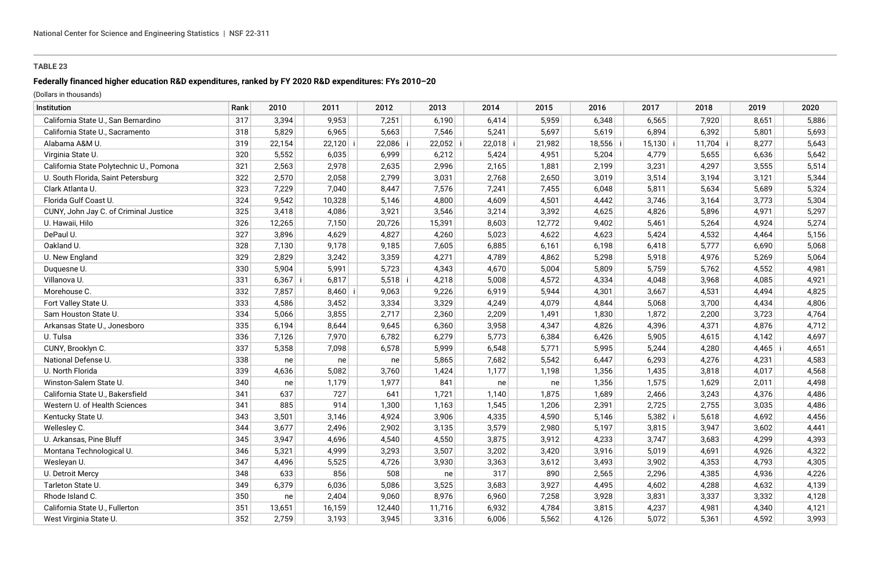## **Federally financed higher education R&D expenditures, ranked by FY 2020 R&D expenditures: FYs 2010–20**

| Institution                             | Rank | 2010   | 2011      | 2012   | 2013   | 2014   | 2015   | 2016       | 2017       | 2018   | 2019  | 2020  |
|-----------------------------------------|------|--------|-----------|--------|--------|--------|--------|------------|------------|--------|-------|-------|
| California State U., San Bernardino     | 317  | 3,394  | 9,953     | 7,251  | 6,190  | 6,414  | 5,959  | 6,348      | 6,565      | 7,920  | 8,651 | 5,886 |
| California State U., Sacramento         | 318  | 5,829  | 6,965     | 5,663  | 7,546  | 5,241  | 5,697  | 5,619      | 6,894      | 6,392  | 5,801 | 5,693 |
| Alabama A&M U.                          | 319  | 22,154 | 22,120    | 22,086 | 22,052 | 22,018 | 21,982 | $18,556$ i | $15,130$ i | 11,704 | 8,277 | 5,643 |
| Virginia State U.                       | 320  | 5,552  | 6,035     | 6,999  | 6,212  | 5,424  | 4,951  | 5,204      | 4,779      | 5,655  | 6,636 | 5,642 |
| California State Polytechnic U., Pomona | 321  | 2,563  | 2,978     | 2,635  | 2,996  | 2,165  | 1,881  | 2,199      | 3,231      | 4,297  | 3,555 | 5,514 |
| U. South Florida, Saint Petersburg      | 322  | 2,570  | 2,058     | 2,799  | 3,031  | 2,768  | 2,650  | 3,019      | 3,514      | 3,194  | 3,121 | 5,344 |
| Clark Atlanta U.                        | 323  | 7,229  | 7,040     | 8,447  | 7,576  | 7,241  | 7,455  | 6,048      | 5,811      | 5,634  | 5,689 | 5,324 |
| Florida Gulf Coast U.                   | 324  | 9,542  | 10,328    | 5,146  | 4,800  | 4,609  | 4,501  | 4,442      | 3,746      | 3,164  | 3,773 | 5,304 |
| CUNY, John Jay C. of Criminal Justice   | 325  | 3,418  | 4,086     | 3,921  | 3,546  | 3,214  | 3,392  | 4,625      | 4,826      | 5,896  | 4,971 | 5,297 |
| U. Hawaii, Hilo                         | 326  | 12,265 | 7,150     | 20,726 | 15,391 | 8,603  | 12,772 | 9,402      | 5,461      | 5,264  | 4,924 | 5,274 |
| DePaul U.                               | 327  | 3,896  | 4,629     | 4,827  | 4,260  | 5,023  | 4,622  | 4,623      | 5,424      | 4,532  | 4,464 | 5,156 |
| Oakland U.                              | 328  | 7,130  | 9,178     | 9,185  | 7,605  | 6,885  | 6,161  | 6,198      | 6,418      | 5,777  | 6,690 | 5,068 |
| U. New England                          | 329  | 2,829  | 3,242     | 3,359  | 4,271  | 4,789  | 4,862  | 5,298      | 5,918      | 4,976  | 5,269 | 5,064 |
| Duquesne U                              | 330  | 5,904  | 5,991     | 5,723  | 4,343  | 4,670  | 5,004  | 5,809      | 5,759      | 5,762  | 4,552 | 4,981 |
| Villanova U.                            | 331  | 6,367  | 6,817     | 5,518  | 4,218  | 5,008  | 4,572  | 4,334      | 4,048      | 3,968  | 4,085 | 4,921 |
| Morehouse C.                            | 332  | 7,857  | $8,460$ i | 9,063  | 9,226  | 6,919  | 5,944  | 4,301      | 3,667      | 4,531  | 4,494 | 4,825 |
| Fort Valley State U.                    | 333  | 4,586  | 3,452     | 3,334  | 3,329  | 4,249  | 4,079  | 4,844      | 5,068      | 3,700  | 4,434 | 4,806 |
| Sam Houston State U.                    | 334  | 5,066  | 3,855     | 2,717  | 2,360  | 2,209  | 1,491  | 1,830      | 1,872      | 2,200  | 3,723 | 4,764 |
| Arkansas State U., Jonesboro            | 335  | 6,194  | 8,644     | 9,645  | 6,360  | 3,958  | 4,347  | 4,826      | 4,396      | 4,371  | 4,876 | 4,712 |
| U. Tulsa                                | 336  | 7,126  | 7,970     | 6,782  | 6,279  | 5,773  | 6,384  | 6,426      | 5,905      | 4,615  | 4,142 | 4,697 |
| CUNY, Brooklyn C.                       | 337  | 5,358  | 7,098     | 6,578  | 5,999  | 6,548  | 5,771  | 5,995      | 5,244      | 4,280  | 4,465 | 4,651 |
| National Defense U.                     | 338  | ne     | ne        | ne     | 5,865  | 7,682  | 5,542  | 6,447      | 6,293      | 4,276  | 4,231 | 4,583 |
| U. North Florida                        | 339  | 4,636  | 5,082     | 3,760  | 1,424  | 1,177  | 1,198  | 1,356      | 1,435      | 3,818  | 4,017 | 4,568 |
| Winston-Salem State U.                  | 340  | ne     | 1,179     | 1,977  | 841    | ne     | ne     | 1,356      | 1,575      | 1,629  | 2,011 | 4,498 |
| California State U., Bakersfield        | 341  | 637    | 727       | 641    | 1,721  | 1,140  | 1,875  | 1,689      | 2,466      | 3,243  | 4,376 | 4,486 |
| Western U. of Health Sciences           | 341  | 885    | 914       | 1,300  | 1,163  | 1,545  | 1,206  | 2,391      | 2,725      | 2,755  | 3,035 | 4,486 |
| Kentucky State U.                       | 343  | 3,501  | 3,146     | 4,924  | 3,906  | 4,335  | 4,590  | 5,146      | 5,382      | 5,618  | 4,692 | 4,456 |
| Wellesley C.                            | 344  | 3,677  | 2,496     | 2,902  | 3,135  | 3,579  | 2,980  | 5,197      | 3,815      | 3,947  | 3,602 | 4,441 |
| U. Arkansas, Pine Bluff                 | 345  | 3,947  | 4,696     | 4,540  | 4,550  | 3,875  | 3,912  | 4,233      | 3,747      | 3,683  | 4,299 | 4,393 |
| Montana Technological U.                | 346  | 5,321  | 4,999     | 3,293  | 3,507  | 3,202  | 3,420  | 3,916      | 5,019      | 4,691  | 4,926 | 4,322 |
| Wesleyan U.                             | 347  | 4,496  | 5,525     | 4,726  | 3,930  | 3,363  | 3,612  | 3,493      | 3,902      | 4,353  | 4,793 | 4,305 |
| U. Detroit Mercy                        | 348  | 633    | 856       | 508    | ne     | 317    | 890    | 2,565      | 2,296      | 4,385  | 4,936 | 4,226 |
| Tarleton State U.                       | 349  | 6,379  | 6,036     | 5,086  | 3,525  | 3,683  | 3,927  | 4,495      | 4,602      | 4,288  | 4,632 | 4,139 |
| Rhode Island C.                         | 350  | ne     | 2,404     | 9,060  | 8,976  | 6,960  | 7,258  | 3,928      | 3,831      | 3,337  | 3,332 | 4,128 |
| California State U., Fullerton          | 351  | 13,651 | 16,159    | 12,440 | 11,716 | 6,932  | 4,784  | 3,815      | 4,237      | 4,981  | 4,340 | 4,121 |
| West Virginia State U.                  | 352  | 2,759  | 3,193     | 3,945  | 3,316  | 6,006  | 5,562  | 4,126      | 5,072      | 5,361  | 4,592 | 3,993 |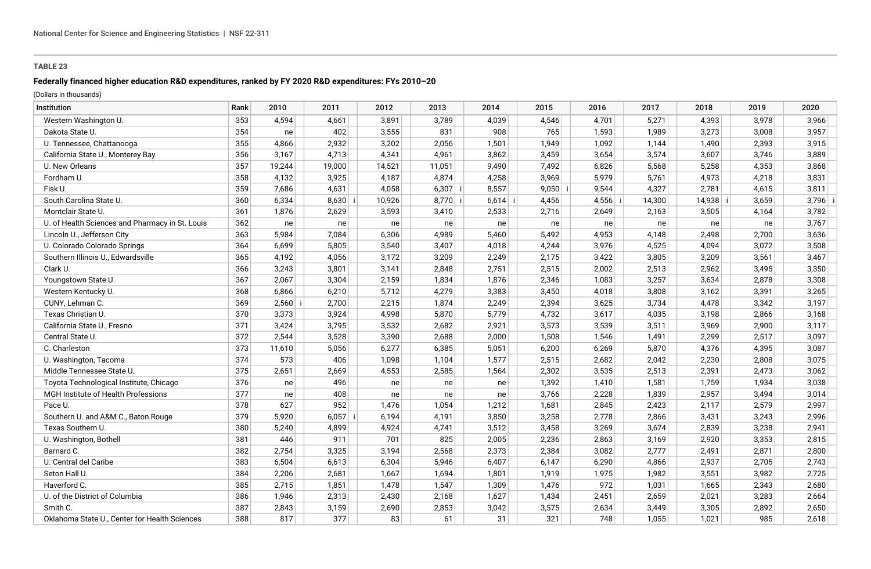## **Federally financed higher education R&D expenditures, ranked by FY 2020 R&D expenditures: FYs 2010–20**

| Institution                                     | Rank | 2010   | 2011      | 2012   | 2013      | 2014      | 2015      | 2016      | 2017   | 2018     | 2019  | 2020      |
|-------------------------------------------------|------|--------|-----------|--------|-----------|-----------|-----------|-----------|--------|----------|-------|-----------|
| Western Washington U.                           | 353  | 4,594  | 4,661     | 3,891  | 3,789     | 4,039     | 4,546     | 4,701     | 5,271  | 4,393    | 3,978 | 3,966     |
| Dakota State U.                                 | 354  | ne     | 402       | 3,555  | 831       | 908       | 765       | 1,593     | 1,989  | 3,273    | 3,008 | 3,957     |
| U. Tennessee, Chattanooga                       | 355  | 4,866  | 2,932     | 3,202  | 2,056     | 1,501     | 1,949     | 1,092     | 1,144  | 1,490    | 2,393 | 3,915     |
| California State U., Monterey Bay               | 356  | 3,167  | 4,713     | 4,341  | 4,961     | 3,862     | 3,459     | 3,654     | 3,574  | 3,607    | 3,746 | 3,889     |
| U. New Orleans                                  | 357  | 19,244 | 19,000    | 14,521 | 11,051    | 9,490     | 7,492     | 6,826     | 5,568  | 5,258    | 4,353 | 3,868     |
| Fordham U.                                      | 358  | 4,132  | 3,925     | 4,187  | 4,874     | 4,258     | 3,969     | 5,979     | 5,761  | 4,973    | 4,218 | 3,831     |
| Fisk U.                                         | 359  | 7,686  | 4,631     | 4,058  | $6,307$ i | 8,557     | $9,050$ i | 9,544     | 4,327  | 2,781    | 4,615 | 3,811     |
| South Carolina State U.                         | 360  | 6,334  | $8,630$ i | 10,926 | $8,770$ i | $6,614$ i | 4,456     | $4,556$ i | 14,300 | 14,938 i | 3,659 | $3,796$ i |
| Montclair State U.                              | 361  | 1,876  | 2,629     | 3,593  | 3,410     | 2,533     | 2,716     | 2,649     | 2,163  | 3,505    | 4,164 | 3,782     |
| U. of Health Sciences and Pharmacy in St. Louis | 362  | ne     | ne        | ne     | ne        | ne        | ne        | ne        | ne     | ne       | ne    | 3,767     |
| Lincoln U., Jefferson City                      | 363  | 5,984  | 7,084     | 6,306  | 4,989     | 5,460     | 5,492     | 4,953     | 4,148  | 2,498    | 2,700 | 3,636     |
| U. Colorado Colorado Springs                    | 364  | 6,699  | 5,805     | 3,540  | 3,407     | 4,018     | 4,244     | 3,976     | 4,525  | 4,094    | 3,072 | 3,508     |
| Southern Illinois U., Edwardsville              | 365  | 4,192  | 4,056     | 3,172  | 3,209     | 2,249     | 2,175     | 3,422     | 3,805  | 3,209    | 3,561 | 3,467     |
| Clark U.                                        | 366  | 3,243  | 3,801     | 3,141  | 2,848     | 2,751     | 2,515     | 2,002     | 2,513  | 2,962    | 3,495 | 3,350     |
| Youngstown State U.                             | 367  | 2,067  | 3,304     | 2,159  | 1,834     | 1,876     | 2,346     | 1,083     | 3,257  | 3,634    | 2,878 | 3,308     |
| Western Kentucky U.                             | 368  | 6,866  | 6,210     | 5,712  | 4,279     | 3,383     | 3,450     | 4,018     | 3,808  | 3,162    | 3,391 | 3,265     |
| CUNY, Lehman C.                                 | 369  | 2,560  | 2,700     | 2,215  | 1,874     | 2,249     | 2,394     | 3,625     | 3,734  | 4,478    | 3,342 | 3,197     |
| Texas Christian U.                              | 370  | 3,373  | 3,924     | 4,998  | 5,870     | 5,779     | 4,732     | 3,617     | 4,035  | 3,198    | 2,866 | 3,168     |
| California State U., Fresno                     | 371  | 3,424  | 3,795     | 3,532  | 2,682     | 2,921     | 3,573     | 3,539     | 3,511  | 3,969    | 2,900 | 3,117     |
| Central State U.                                | 372  | 2,544  | 3,528     | 3,390  | 2,688     | 2,000     | 1,508     | 1,546     | 1,491  | 2,299    | 2,517 | 3,097     |
| C. Charleston                                   | 373  | 11,610 | 5,056     | 6,277  | 6,385     | 5,051     | 6,200     | 6,269     | 5,870  | 4,376    | 4,395 | 3,087     |
| U. Washington, Tacoma                           | 374  | 573    | 406       | 1,098  | 1,104     | 1,577     | 2,515     | 2,682     | 2,042  | 2,230    | 2,808 | 3,075     |
| Middle Tennessee State U.                       | 375  | 2,651  | 2,669     | 4,553  | 2,585     | 1,564     | 2,302     | 3,535     | 2,513  | 2,391    | 2,473 | 3,062     |
| Toyota Technological Institute, Chicago         | 376  | ne     | 496       | ne     | ne        | ne        | 1,392     | 1,410     | 1,581  | 1,759    | 1,934 | 3,038     |
| MGH Institute of Health Professions             | 377  | ne     | 408       | ne     | ne        | ne        | 3,766     | 2,228     | 1,839  | 2,957    | 3,494 | 3,014     |
| Pace U.                                         | 378  | 627    | 952       | 1,476  | 1,054     | 1,212     | 1,681     | 2,845     | 2,423  | 2,117    | 2,579 | 2,997     |
| Southern U. and A&M C., Baton Rouge             | 379  | 5,920  | $6,057$ i | 6,194  | 4,191     | 3,850     | 3,258     | 2,778     | 2,866  | 3,431    | 3,243 | 2,996     |
| Texas Southern U.                               | 380  | 5,240  | 4,899     | 4,924  | 4,741     | 3,512     | 3,458     | 3,269     | 3,674  | 2,839    | 3,238 | 2,941     |
| U. Washington, Bothell                          | 381  | 446    | 911       | 701    | 825       | 2,005     | 2,236     | 2,863     | 3,169  | 2,920    | 3,353 | 2,815     |
| Barnard C.                                      | 382  | 2,754  | 3,325     | 3,194  | 2,568     | 2,373     | 2,384     | 3,082     | 2,777  | 2,491    | 2,871 | 2,800     |
| U. Central del Caribe                           | 383  | 6,504  | 6,613     | 6,304  | 5,946     | 6,407     | 6,147     | 6,290     | 4,866  | 2,937    | 2,705 | 2,743     |
| Seton Hall U.                                   | 384  | 2,206  | 2,681     | 1,667  | 1,694     | 1,801     | 1,919     | 1,975     | 1,982  | 3,551    | 3,982 | 2,725     |
| Haverford C.                                    | 385  | 2,715  | 1,851     | 1,478  | 1,547     | 1,309     | 1,476     | 972       | 1,031  | 1,665    | 2,343 | 2,680     |
| U. of the District of Columbia                  | 386  | 1,946  | 2,313     | 2,430  | 2,168     | 1,627     | 1,434     | 2,451     | 2,659  | 2,021    | 3,283 | 2,664     |
| Smith C.                                        | 387  | 2,843  | 3,159     | 2,690  | 2,853     | 3,042     | 3,575     | 2,634     | 3,449  | 3,305    | 2,892 | 2,650     |
| Oklahoma State U., Center for Health Sciences   | 388  | 817    | 377       | 83     | 61        | 31        | 321       | 748       | 1,055  | 1,021    | 985   | 2,618     |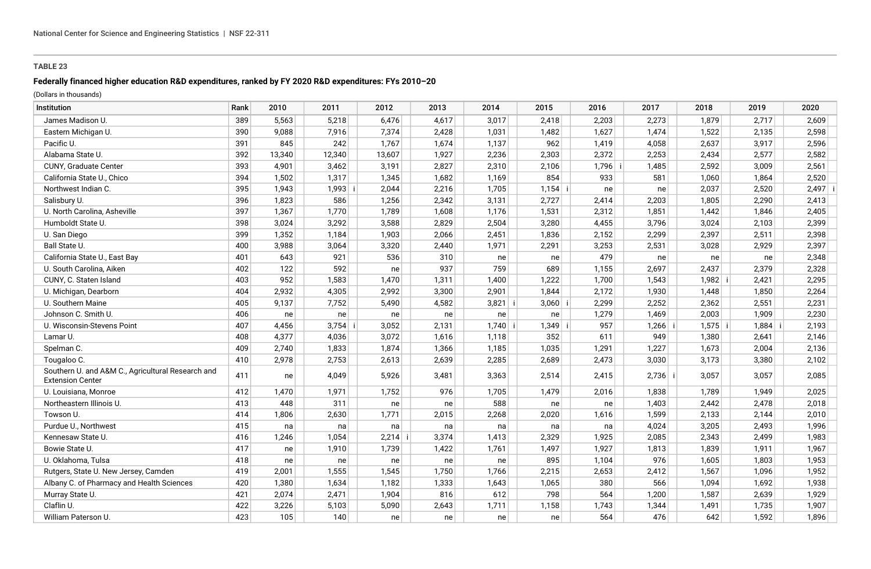## **Federally financed higher education R&D expenditures, ranked by FY 2020 R&D expenditures: FYs 2010–20**

| Institution                                                                  | Rank | 2010   | 2011   | 2012   | 2013  | 2014  | 2015      | 2016      | 2017      | 2018  | 2019  | 2020      |
|------------------------------------------------------------------------------|------|--------|--------|--------|-------|-------|-----------|-----------|-----------|-------|-------|-----------|
| James Madison U.                                                             | 389  | 5,563  | 5,218  | 6,476  | 4,617 | 3,017 | 2,418     | 2,203     | 2,273     | 1,879 | 2,717 | 2,609     |
| Eastern Michigan U.                                                          | 390  | 9,088  | 7,916  | 7,374  | 2,428 | 1,031 | 1,482     | 1,627     | 1,474     | 1,522 | 2,135 | 2,598     |
| Pacific U.                                                                   | 391  | 845    | 242    | 1,767  | 1,674 | 1,137 | 962       | 1,419     | 4,058     | 2,637 | 3,917 | 2,596     |
| Alabama State U.                                                             | 392  | 13,340 | 12,340 | 13,607 | 1,927 | 2,236 | 2,303     | 2,372     | 2,253     | 2,434 | 2,577 | 2,582     |
| CUNY, Graduate Center                                                        | 393  | 4,901  | 3,462  | 3,191  | 2,827 | 2,310 | 2,106     | $1,796$ i | 1,485     | 2,592 | 3,009 | 2,561     |
| California State U., Chico                                                   | 394  | 1,502  | 1,317  | 1,345  | 1,682 | 1,169 | 854       | 933       | 581       | 1,060 | 1,864 | 2,520     |
| Northwest Indian C.                                                          | 395  | 1,943  | 1,993  | 2,044  | 2,216 | 1,705 | $1,154$ i | ne        | ne        | 2,037 | 2,520 | $2,497$ i |
| Salisbury U.                                                                 | 396  | 1,823  | 586    | 1,256  | 2,342 | 3,131 | 2,727     | 2,414     | 2,203     | 1,805 | 2,290 | 2,413     |
| U. North Carolina, Asheville                                                 | 397  | 1,367  | 1,770  | 1,789  | 1,608 | 1,176 | 1,531     | 2,312     | 1,851     | 1,442 | 1,846 | 2,405     |
| Humboldt State U.                                                            | 398  | 3,024  | 3,292  | 3,588  | 2,829 | 2,504 | 3,280     | 4,455     | 3,796     | 3,024 | 2,103 | 2,399     |
| U. San Diego                                                                 | 399  | 1,352  | 1,184  | 1,903  | 2,066 | 2,451 | 1,836     | 2,152     | 2,299     | 2,397 | 2,511 | 2,398     |
| Ball State U.                                                                | 400  | 3,988  | 3,064  | 3,320  | 2,440 | 1,971 | 2,291     | 3,253     | 2,531     | 3,028 | 2,929 | 2,397     |
| California State U., East Bay                                                | 401  | 643    | 921    | 536    | 310   | ne    | ne        | 479       | ne        | ne    | ne    | 2,348     |
| U. South Carolina, Aiken                                                     | 402  | 122    | 592    | ne     | 937   | 759   | 689       | 1,155     | 2,697     | 2,437 | 2,379 | 2,328     |
| CUNY, C. Staten Island                                                       | 403  | 952    | 1,583  | 1,470  | 1,311 | 1,400 | 1,222     | 1,700     | 1,543     | 1,982 | 2,421 | 2,295     |
| U. Michigan, Dearborn                                                        | 404  | 2,932  | 4,305  | 2,992  | 3,300 | 2,901 | 1,844     | 2,172     | 1,930     | 1,448 | 1,850 | 2,264     |
| U. Southern Maine                                                            | 405  | 9,137  | 7,752  | 5,490  | 4,582 | 3,821 | $3,060$ i | 2,299     | 2,252     | 2,362 | 2,551 | 2,231     |
| Johnson C. Smith U.                                                          | 406  | ne     | ne     | ne     | ne    | ne    | ne        | 1,279     | 1,469     | 2,003 | 1,909 | 2,230     |
| U. Wisconsin-Stevens Point                                                   | 407  | 4,456  | 3,754  | 3,052  | 2,131 | 1,740 | $1,349$ i | 957       | $1,266$ i | 1,575 | 1,884 | 2,193     |
| Lamar U.                                                                     | 408  | 4,377  | 4,036  | 3,072  | 1,616 | 1,118 | 352       | 611       | 949       | 1,380 | 2,641 | 2,146     |
| Spelman C.                                                                   | 409  | 2,740  | 1,833  | 1,874  | 1,366 | 1,185 | 1,035     | 1,291     | 1,227     | 1,673 | 2,004 | 2,136     |
| Tougaloo C.                                                                  | 410  | 2,978  | 2,753  | 2,613  | 2,639 | 2,285 | 2,689     | 2,473     | 3,030     | 3,173 | 3,380 | 2,102     |
| Southern U. and A&M C., Agricultural Research and<br><b>Extension Center</b> | 411  | ne     | 4,049  | 5,926  | 3,481 | 3,363 | 2,514     | 2,415     | $2,736$ i | 3,057 | 3,057 | 2,085     |
| U. Louisiana, Monroe                                                         | 412  | 1,470  | 1,971  | 1,752  | 976   | 1,705 | 1,479     | 2,016     | 1,838     | 1,789 | 1,949 | 2,025     |
| Northeastern Illinois U.                                                     | 413  | 448    | 311    | ne     | ne    | 588   | ne        | ne        | 1,403     | 2,442 | 2,478 | 2,018     |
| Towson U.                                                                    | 414  | 1,806  | 2,630  | 1,771  | 2,015 | 2,268 | 2,020     | 1,616     | 1,599     | 2,133 | 2,144 | 2,010     |
| Purdue U., Northwest                                                         | 415  | na     | na     | na     | na    | na    | na        | na        | 4,024     | 3,205 | 2,493 | 1,996     |
| Kennesaw State U.                                                            | 416  | 1,246  | 1,054  | 2,214  | 3,374 | 1,413 | 2,329     | 1,925     | 2,085     | 2,343 | 2,499 | 1,983     |
| Bowie State U.                                                               | 417  | ne     | 1,910  | 1,739  | 1,422 | 1,761 | 1,497     | 1,927     | 1,813     | 1,839 | 1,911 | 1,967     |
| U. Oklahoma, Tulsa                                                           | 418  | ne     | ne     | ne     | ne    | ne    | 895       | 1,104     | 976       | 1,605 | 1,803 | 1,953     |
| Rutgers, State U. New Jersey, Camden                                         | 419  | 2,001  | 1,555  | 1,545  | 1,750 | 1,766 | 2,215     | 2,653     | 2,412     | 1,567 | 1,096 | 1,952     |
| Albany C. of Pharmacy and Health Sciences                                    | 420  | 1,380  | 1,634  | 1,182  | 1,333 | 1,643 | 1,065     | 380       | 566       | 1,094 | 1,692 | 1,938     |
| Murray State U.                                                              | 421  | 2,074  | 2,471  | 1,904  | 816   | 612   | 798       | 564       | 1,200     | 1,587 | 2,639 | 1,929     |
| Claflin U.                                                                   | 422  | 3,226  | 5,103  | 5,090  | 2,643 | 1,711 | 1,158     | 1,743     | 1,344     | 1,491 | 1,735 | 1,907     |
| William Paterson U.                                                          | 423  | 105    | 140    | ne     | ne    | ne    | ne        | 564       | 476       | 642   | 1,592 | 1,896     |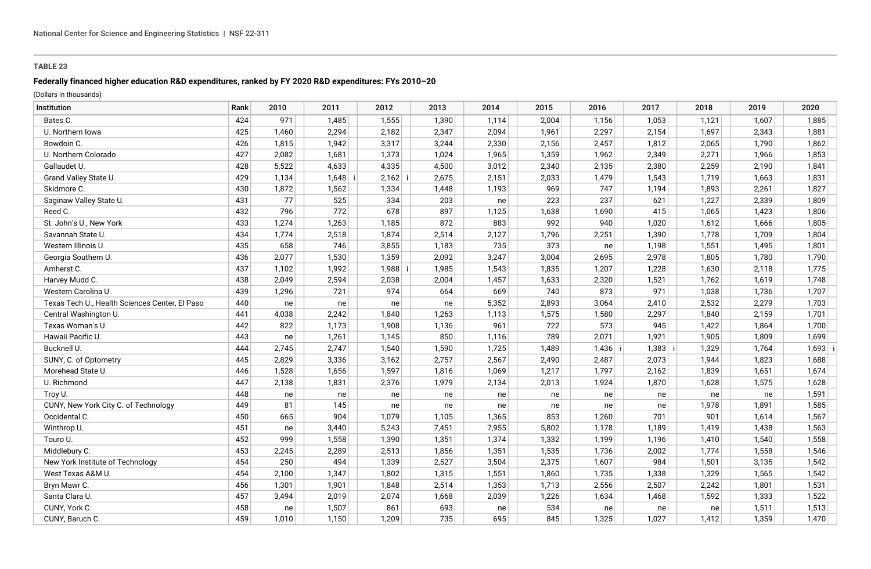### **Federally financed higher education R&D expenditures, ranked by FY 2020 R&D expenditures: FYs 2010–20**

| Institution                                    | Rank | 2010  | 2011      | 2012    | 2013  | 2014  | 2015  | 2016      | 2017  | 2018  | 2019  | 2020  |
|------------------------------------------------|------|-------|-----------|---------|-------|-------|-------|-----------|-------|-------|-------|-------|
| Bates C.                                       | 424  | 971   | 1,485     | 1,555   | 1,390 | 1,114 | 2,004 | 1,156     | 1,053 | 1,121 | 1,607 | 1,885 |
| U. Northern Iowa                               | 425  | 1,460 | 2,294     | 2,182   | 2,347 | 2,094 | 1,961 | 2,297     | 2,154 | 1,697 | 2,343 | 1,881 |
| Bowdoin C.                                     | 426  | 1,815 | 1,942     | 3,317   | 3,244 | 2,330 | 2,156 | 2,457     | 1,812 | 2,065 | 1,790 | 1,862 |
| U. Northern Colorado                           | 427  | 2,082 | 1,681     | 1,373   | 1,024 | 1,965 | 1,359 | 1,962     | 2,349 | 2,271 | 1,966 | 1,853 |
| Gallaudet U.                                   | 428  | 5,522 | 4,633     | 4,335   | 4,500 | 3,012 | 2,340 | 2,135     | 2,380 | 2,259 | 2,190 | 1,841 |
| Grand Valley State U.                          | 429  | 1,134 | $1,648$ i | 2,162   | 2,675 | 2,151 | 2,033 | 1,479     | 1,543 | 1,719 | 1,663 | 1,831 |
| Skidmore C.                                    | 430  | 1,872 | 1,562     | 1,334   | 1,448 | 1,193 | 969   | 747       | 1,194 | 1,893 | 2,261 | 1,827 |
| Saginaw Valley State U.                        | 431  | 77    | 525       | 334     | 203   | ne    | 223   | 237       | 621   | 1,227 | 2,339 | 1,809 |
| Reed C.                                        | 432  | 796   | 772       | 678     | 897   | 1,125 | 1,638 | 1,690     | 415   | 1,065 | 1,423 | 1,806 |
| St. John's U., New York                        | 433  | 1,274 | 1,263     | 1,185   | 872   | 883   | 992   | 940       | 1,020 | 1,612 | 1,666 | 1,805 |
| Savannah State U.                              | 434  | 1,774 | 2,518     | 1,874   | 2,514 | 2,127 | 1,796 | 2,251     | 1,390 | 1,778 | 1,709 | 1,804 |
| Western Illinois U.                            | 435  | 658   | 746       | 3,855   | 1,183 | 735   | 373   | ne        | 1,198 | 1,551 | 1,495 | 1,801 |
| Georgia Southern U.                            | 436  | 2,077 | 1,530     | 1,359   | 2,092 | 3,247 | 3,004 | 2,695     | 2,978 | 1,805 | 1,780 | 1,790 |
| Amherst C.                                     | 437  | 1,102 | 1,992     | 1,988 i | 1,985 | 1,543 | 1,835 | 1,207     | 1,228 | 1,630 | 2,118 | 1,775 |
| Harvey Mudd C.                                 | 438  | 2,049 | 2,594     | 2,038   | 2,004 | 1,457 | 1,633 | 2,320     | 1,521 | 1,762 | 1,619 | 1,748 |
| Western Carolina U.                            | 439  | 1,296 | 721       | 974     | 664   | 669   | 740   | 873       | 971   | 1,038 | 1,736 | 1,707 |
| Texas Tech U., Health Sciences Center, El Paso | 440  | ne    | ne        | ne      | ne    | 5,352 | 2,893 | 3,064     | 2,410 | 2,532 | 2,279 | 1,703 |
| Central Washington U.                          | 441  | 4,038 | 2,242     | 1,840   | 1,263 | 1,113 | 1,575 | 1,580     | 2,297 | 1,840 | 2,159 | 1,701 |
| Texas Woman's U.                               | 442  | 822   | 1,173     | 1,908   | 1,136 | 961   | 722   | 573       | 945   | 1,422 | 1,864 | 1,700 |
| Hawaii Pacific U.                              | 443  | ne    | 1,261     | 1,145   | 850   | 1,116 | 789   | 2,071     | 1,921 | 1,905 | 1,809 | 1,699 |
| Bucknell U.                                    | 444  | 2,745 | 2,747     | 1,540   | 1,590 | 1,725 | 1,489 | $1,436$ i | 1,383 | 1,329 | 1,764 | 1,693 |
| SUNY, C. of Optometry                          | 445  | 2,829 | 3,336     | 3,162   | 2,757 | 2,567 | 2,490 | 2,487     | 2,073 | 1,944 | 1,823 | 1,688 |
| Morehead State U.                              | 446  | 1,528 | 1,656     | 1,597   | 1,816 | 1,069 | 1,217 | 1,797     | 2,162 | 1,839 | 1,651 | 1,674 |
| U. Richmond                                    | 447  | 2,138 | 1,831     | 2,376   | 1,979 | 2,134 | 2,013 | 1,924     | 1,870 | 1,628 | 1,575 | 1,628 |
| Troy U.                                        | 448  | ne    | ne        | ne      | ne    | ne    | ne    | ne        | ne    | ne    | ne    | 1,591 |
| CUNY, New York City C. of Technology           | 449  | 81    | 145       | ne      | ne    | ne    | ne    | ne        | ne    | 1,978 | 1,891 | 1,585 |
| Occidental C.                                  | 450  | 665   | 904       | 1,079   | 1,105 | 1,365 | 853   | 1,260     | 701   | 901   | 1,614 | 1,567 |
| Winthrop U.                                    | 451  | ne    | 3,440     | 5,243   | 7,451 | 7,955 | 5,802 | 1,178     | 1,189 | 1,419 | 1,438 | 1,563 |
| Touro U.                                       | 452  | 999   | 1,558     | 1,390   | 1,351 | 1,374 | 1,332 | 1,199     | 1,196 | 1,410 | 1,540 | 1,558 |
| Middlebury C.                                  | 453  | 2,245 | 2,289     | 2,513   | 1,856 | 1,351 | 1,535 | 1,736     | 2,002 | 1,774 | 1,558 | 1,546 |
| New York Institute of Technology               | 454  | 250   | 494       | 1,339   | 2,527 | 3,504 | 2,375 | 1,607     | 984   | 1,501 | 3,135 | 1,542 |
| West Texas A&M U.                              | 454  | 2,100 | 1,347     | 1,802   | 1,315 | 1,551 | 1,860 | 1,735     | 1,338 | 1,329 | 1,565 | 1,542 |
| Bryn Mawr C.                                   | 456  | 1,301 | 1,901     | 1,848   | 2,514 | 1,353 | 1,713 | 2,556     | 2,507 | 2,242 | 1,801 | 1,531 |
| Santa Clara U.                                 | 457  | 3,494 | 2,019     | 2,074   | 1,668 | 2,039 | 1,226 | 1,634     | 1,468 | 1,592 | 1,333 | 1,522 |
| CUNY, York C.                                  | 458  | ne    | 1,507     | 861     | 693   | ne    | 534   | ne        | ne    | ne    | 1,511 | 1,513 |
| CUNY, Baruch C.                                | 459  | 1.010 | 1,150     | 1,209   | 735   | 695   | 845   | 1,325     | 1,027 | 1,412 | 1,359 | 1,470 |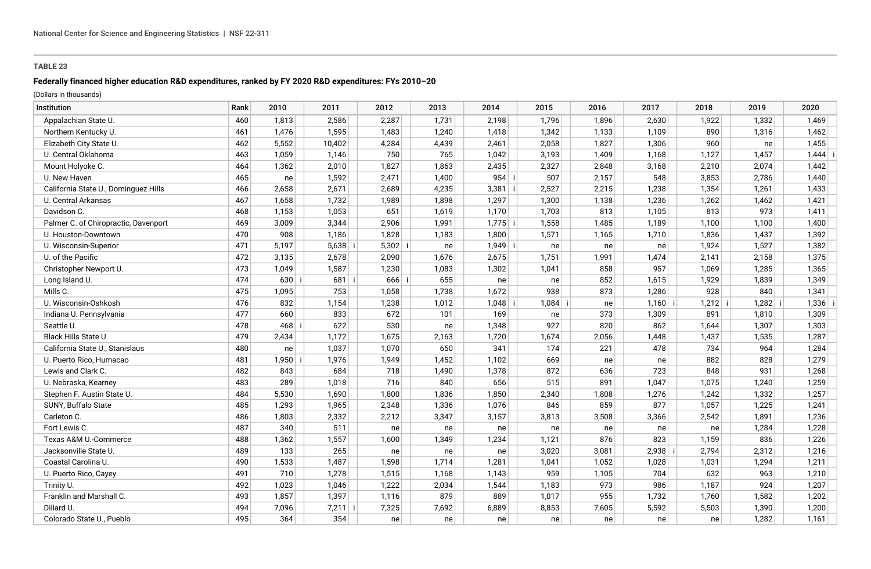## **Federally financed higher education R&D expenditures, ranked by FY 2020 R&D expenditures: FYs 2010–20**

| Institution                          | Rank | 2010  | 2011      | 2012      | 2013  | 2014      | 2015      | 2016  | 2017      | 2018      | 2019  | 2020  |
|--------------------------------------|------|-------|-----------|-----------|-------|-----------|-----------|-------|-----------|-----------|-------|-------|
| Appalachian State U.                 | 460  | 1,813 | 2,586     | 2,287     | 1,731 | 2,198     | 1,796     | 1,896 | 2,630     | 1,922     | 1,332 | 1,469 |
| Northern Kentucky U.                 | 461  | 1,476 | 1,595     | 1,483     | 1,240 | 1,418     | 1,342     | 1,133 | 1,109     | 890       | 1,316 | 1,462 |
| Elizabeth City State U.              | 462  | 5,552 | 10,402    | 4,284     | 4,439 | 2,461     | 2,058     | 1,827 | 1,306     | 960       | ne    | 1,455 |
| U. Central Oklahoma                  | 463  | 1,059 | 1,146     | 750       | 765   | 1,042     | 3,193     | 1,409 | 1,168     | 1,127     | 1,457 | 1,444 |
| Mount Holyoke C.                     | 464  | 1,362 | 2,010     | 1,827     | 1,863 | 2,435     | 2,327     | 2,848 | 3,168     | 2,210     | 2,074 | 1,442 |
| U. New Haven                         | 465  | ne    | 1,592     | 2,471     | 1,400 | $954$ i   | 507       | 2,157 | 548       | 3,853     | 2,786 | 1,440 |
| California State U., Dominguez Hills | 466  | 2,658 | 2,671     | 2,689     | 4,235 | $3,381$ i | 2,527     | 2,215 | 1,238     | 1,354     | 1,261 | 1,433 |
| U. Central Arkansas                  | 467  | 1,658 | 1,732     | 1,989     | 1,898 | 1,297     | 1,300     | 1,138 | 1,236     | 1,262     | 1,462 | 1,421 |
| Davidson C.                          | 468  | 1,153 | 1,053     | 651       | 1,619 | 1,170     | 1,703     | 813   | 1,105     | 813       | 973   | 1,411 |
| Palmer C. of Chiropractic, Davenport | 469  | 3,009 | 3,344     | 2,906     | 1,991 | $1,775$ i | 1,558     | 1,485 | 1,189     | 1,100     | 1,100 | 1,400 |
| U. Houston-Downtown                  | 470  | 908   | 1,186     | 1,828     | 1,183 | 1,800     | 1,571     | 1,165 | 1,710     | 1,836     | 1,437 | 1,392 |
| U. Wisconsin-Superior                | 471  | 5,197 | $5,638$ i | $5,302$ i | ne    | $1,949$ i | ne        | ne    | ne        | 1,924     | 1,527 | 1,382 |
| U. of the Pacific                    | 472  | 3,135 | 2,678     | 2,090     | 1,676 | 2,675     | 1,751     | 1,991 | 1,474     | 2,141     | 2,158 | 1,375 |
| Christopher Newport U.               | 473  | 1,049 | 1,587     | 1,230     | 1,083 | 1,302     | 1,041     | 858   | 957       | 1,069     | 1,285 | 1,365 |
| Long Island U.                       | 474  | 630   | $681$ i   | $666$ i   | 655   | ne        | ne        | 852   | 1,615     | 1,929     | 1,839 | 1,349 |
| Mills C.                             | 475  | 1,095 | 753       | 1,058     | 1,738 | 1,672     | 938       | 873   | 1,286     | 928       | 840   | 1,341 |
| U. Wisconsin-Oshkosh                 | 476  | 832   | 1,154     | 1,238     | 1,012 | 1,048     | $1,084$ i | ne    | $1,160$ i | $1,212$ i | 1,282 | 1,336 |
| Indiana U. Pennsylvania              | 477  | 660   | 833       | 672       | 101   | 169       | ne        | 373   | 1,309     | 891       | 1,810 | 1,309 |
| Seattle U.                           | 478  | 468   | 622       | 530       | ne    | 1,348     | 927       | 820   | 862       | 1,644     | 1,307 | 1,303 |
| Black Hills State U.                 | 479  | 2,434 | 1,172     | 1,675     | 2,163 | 1,720     | 1,674     | 2,056 | 1,448     | 1,437     | 1,535 | 1,287 |
| California State U., Stanislaus      | 480  | ne    | 1,037     | 1,070     | 650   | 341       | 174       | 221   | 478       | 734       | 964   | 1,284 |
| U. Puerto Rico, Humacao              | 481  | 1,950 | 1,976     | 1,949     | 1,452 | 1,102     | 669       | ne    | ne        | 882       | 828   | 1,279 |
| Lewis and Clark C.                   | 482  | 843   | 684       | 718       | 1,490 | 1,378     | 872       | 636   | 723       | 848       | 931   | 1,268 |
| U. Nebraska, Kearney                 | 483  | 289   | 1,018     | 716       | 840   | 656       | 515       | 891   | 1,047     | 1,075     | 1,240 | 1,259 |
| Stephen F. Austin State U.           | 484  | 5,530 | 1,690     | 1,800     | 1,836 | 1,850     | 2,340     | 1,808 | 1,276     | 1,242     | 1,332 | 1,257 |
| SUNY, Buffalo State                  | 485  | 1,293 | 1,965     | 2,348     | 1,336 | 1,076     | 846       | 859   | 877       | 1,057     | 1,225 | 1,241 |
| Carleton C.                          | 486  | 1,803 | 2,332     | 2,212     | 3,347 | 3,157     | 3,813     | 3,508 | 3,366     | 2,542     | 1,891 | 1,236 |
| Fort Lewis C.                        | 487  | 340   | 511       | ne        | ne    | ne        | ne        | ne    | ne        | ne        | 1,284 | 1,228 |
| Texas A&M U.-Commerce                | 488  | 1,362 | 1,557     | 1,600     | 1,349 | 1,234     | 1,121     | 876   | 823       | 1,159     | 836   | 1,226 |
| Jacksonville State U.                | 489  | 133   | 265       | ne        | ne    | ne        | 3,020     | 3,081 | 2,938     | 2,794     | 2,312 | 1,216 |
| Coastal Carolina U.                  | 490  | 1,533 | 1,487     | 1,598     | 1,714 | 1,281     | 1,041     | 1,052 | 1,028     | 1,031     | 1,294 | 1,211 |
| U. Puerto Rico, Cayey                | 491  | 710   | 1,278     | 1,515     | 1,168 | 1,143     | 959       | 1,105 | 704       | 632       | 963   | 1,210 |
| Trinity U.                           | 492  | 1,023 | 1,046     | 1,222     | 2,034 | 1,544     | 1,183     | 973   | 986       | 1,187     | 924   | 1,207 |
| Franklin and Marshall C.             | 493  | 1,857 | 1,397     | 1,116     | 879   | 889       | 1,017     | 955   | 1,732     | 1,760     | 1,582 | 1,202 |
| Dillard U.                           | 494  | 7,096 | $7,211$ i | 7,325     | 7,692 | 6,889     | 8,853     | 7,605 | 5,592     | 5,503     | 1,390 | 1,200 |
| Colorado State U., Pueblo            | 495  | 364   | 354       | ne        | ne    | ne        | ne        | ne    | ne        | ne        | 1,282 | 1,161 |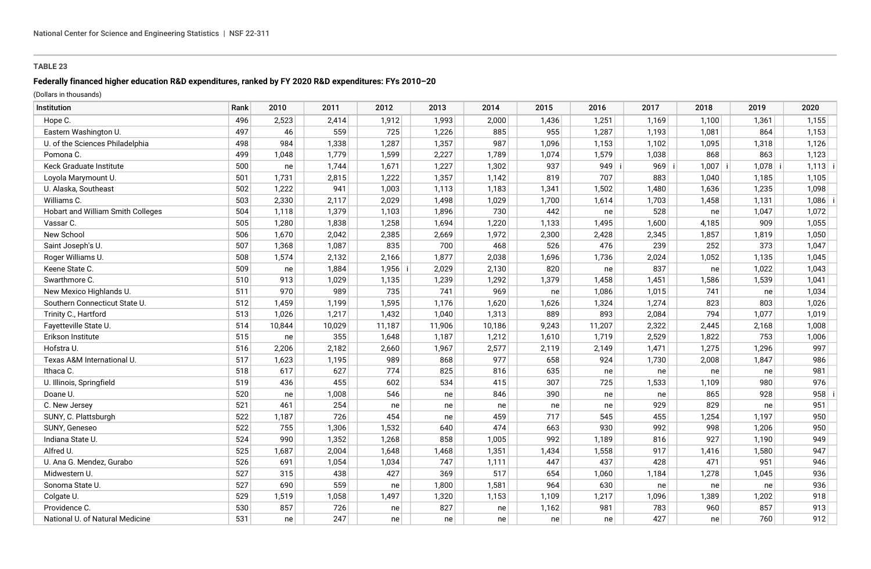## **Federally financed higher education R&D expenditures, ranked by FY 2020 R&D expenditures: FYs 2010–20**

| Institution                       | Rank | 2010   | 2011   | 2012   | 2013   | 2014   | 2015  | 2016    | 2017    | 2018      | 2019      | 2020      |
|-----------------------------------|------|--------|--------|--------|--------|--------|-------|---------|---------|-----------|-----------|-----------|
| Hope C.                           | 496  | 2,523  | 2,414  | 1,912  | 1,993  | 2,000  | 1,436 | 1,251   | 1,169   | 1,100     | 1,361     | 1,155     |
| Eastern Washington U.             | 497  | 46     | 559    | 725    | 1,226  | 885    | 955   | 1,287   | 1,193   | 1,081     | 864       | 1,153     |
| U. of the Sciences Philadelphia   | 498  | 984    | 1,338  | 1,287  | 1,357  | 987    | 1,096 | 1,153   | 1,102   | 1,095     | 1,318     | 1,126     |
| Pomona C.                         | 499  | 1,048  | 1,779  | 1,599  | 2,227  | 1,789  | 1,074 | 1,579   | 1,038   | 868       | 863       | 1,123     |
| Keck Graduate Institute           | 500  | ne     | 1,744  | 1,671  | 1,227  | 1,302  | 937   | $949$ i | $969$ i | $1,007$ i | $1,078$ i | $1,113$ i |
| Loyola Marymount U.               | 501  | 1,731  | 2,815  | 1,222  | 1,357  | 1,142  | 819   | 707     | 883     | 1,040     | 1,185     | 1,105     |
| U. Alaska, Southeast              | 502  | 1,222  | 941    | 1,003  | 1,113  | 1,183  | 1,341 | 1,502   | 1,480   | 1,636     | 1,235     | 1,098     |
| Williams C.                       | 503  | 2,330  | 2,117  | 2,029  | 1,498  | 1,029  | 1,700 | 1,614   | 1,703   | 1,458     | 1,131     | $1,086$ i |
| Hobart and William Smith Colleges | 504  | 1,118  | 1,379  | 1,103  | 1,896  | 730    | 442   | ne      | 528     | ne        | 1,047     | 1,072     |
| Vassar C.                         | 505  | 1,280  | 1,838  | 1,258  | 1,694  | 1,220  | 1,133 | 1,495   | 1,600   | 4,185     | 909       | 1,055     |
| New School                        | 506  | 1,670  | 2,042  | 2,385  | 2,669  | 1,972  | 2,300 | 2,428   | 2,345   | 1,857     | 1,819     | 1,050     |
| Saint Joseph's U.                 | 507  | 1,368  | 1,087  | 835    | 700    | 468    | 526   | 476     | 239     | 252       | 373       | 1,047     |
| Roger Williams U.                 | 508  | 1,574  | 2,132  | 2,166  | 1,877  | 2,038  | 1,696 | 1,736   | 2,024   | 1,052     | 1,135     | 1,045     |
| Keene State C.                    | 509  | ne     | 1,884  | 1,956  | 2,029  | 2,130  | 820   | ne      | 837     | ne        | 1,022     | 1,043     |
| Swarthmore C.                     | 510  | 913    | 1,029  | 1,135  | 1,239  | 1,292  | 1,379 | 1,458   | 1,451   | 1,586     | 1,539     | 1,041     |
| New Mexico Highlands U.           | 511  | 970    | 989    | 735    | 741    | 969    | ne    | 1,086   | 1,015   | 741       | ne        | 1,034     |
| Southern Connecticut State U.     | 512  | 1,459  | 1,199  | 1,595  | 1,176  | 1,620  | 1,626 | 1,324   | 1,274   | 823       | 803       | 1,026     |
| Trinity C., Hartford              | 513  | 1,026  | 1,217  | 1,432  | 1,040  | 1,313  | 889   | 893     | 2,084   | 794       | 1,077     | 1,019     |
| Fayetteville State U.             | 514  | 10,844 | 10,029 | 11,187 | 11,906 | 10,186 | 9,243 | 11,207  | 2,322   | 2,445     | 2,168     | 1,008     |
| Erikson Institute                 | 515  | ne     | 355    | 1,648  | 1,187  | 1,212  | 1,610 | 1,719   | 2,529   | 1,822     | 753       | 1,006     |
| Hofstra U.                        | 516  | 2,206  | 2,182  | 2,660  | 1,967  | 2,577  | 2,119 | 2,149   | 1,471   | 1,275     | 1,296     | 997       |
| Texas A&M International U.        | 517  | 1,623  | 1,195  | 989    | 868    | 977    | 658   | 924     | 1,730   | 2,008     | 1,847     | 986       |
| Ithaca C.                         | 518  | 617    | 627    | 774    | 825    | 816    | 635   | ne      | ne      | ne        | ne        | 981       |
| U. Illinois, Springfield          | 519  | 436    | 455    | 602    | 534    | 415    | 307   | 725     | 1,533   | 1,109     | 980       | 976       |
| Doane U.                          | 520  | ne     | 1,008  | 546    | ne     | 846    | 390   | ne      | ne      | 865       | 928       | 958       |
| C. New Jersey                     | 521  | 461    | 254    | ne     | ne     | ne     | ne    | ne      | 929     | 829       | ne        | 951       |
| SUNY, C. Plattsburgh              | 522  | 1,187  | 726    | 454    | ne     | 459    | 717   | 545     | 455     | 1,254     | 1,197     | 950       |
| SUNY, Geneseo                     | 522  | 755    | 1,306  | 1,532  | 640    | 474    | 663   | 930     | 992     | 998       | 1,206     | 950       |
| Indiana State U.                  | 524  | 990    | 1,352  | 1,268  | 858    | 1,005  | 992   | 1,189   | 816     | 927       | 1,190     | 949       |
| Alfred U.                         | 525  | 1,687  | 2,004  | 1,648  | 1,468  | 1,351  | 1,434 | 1,558   | 917     | 1,416     | 1,580     | 947       |
| U. Ana G. Mendez, Gurabo          | 526  | 691    | 1,054  | 1,034  | 747    | 1,111  | 447   | 437     | 428     | 471       | 951       | 946       |
| Midwestern U.                     | 527  | 315    | 438    | 427    | 369    | 517    | 654   | 1,060   | 1,184   | 1,278     | 1,045     | 936       |
| Sonoma State U.                   | 527  | 690    | 559    | ne     | 1,800  | 1,581  | 964   | 630     | ne      | ne        | ne        | 936       |
| Colgate U.                        | 529  | 1,519  | 1,058  | 1,497  | 1,320  | 1,153  | 1,109 | 1,217   | 1,096   | 1,389     | 1,202     | 918       |
| Providence C.                     | 530  | 857    | 726    | ne     | 827    | ne     | 1,162 | 981     | 783     | 960       | 857       | 913       |
| National U. of Natural Medicine   | 531  | ne     | 247    | ne     | ne l   | ne     | ne    | ne      | 427     | ne        | 760       | 912       |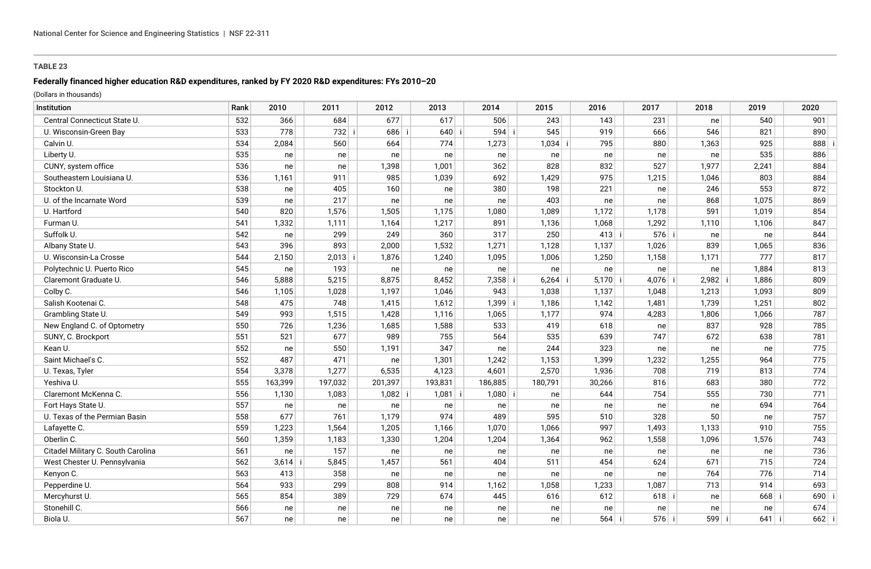## **Federally financed higher education R&D expenditures, ranked by FY 2020 R&D expenditures: FYs 2010–20**

| Institution                        | Rank | 2010    | 2011      | 2012      | 2013      | 2014      | 2015      | 2016      | 2017    | 2018      | 2019      | 2020    |
|------------------------------------|------|---------|-----------|-----------|-----------|-----------|-----------|-----------|---------|-----------|-----------|---------|
| Central Connecticut State U.       | 532  | 366     | 684       | 677       | 617       | 506       | 243       | 143       | 231     | ne        | 540       | 901     |
| U. Wisconsin-Green Bay             | 533  | 778     | 732 i     | 686       | 640       | 594 i     | 545       | 919       | 666     | 546       | 821       | 890     |
| Calvin U.                          | 534  | 2,084   | 560       | 664       | 774       | 1,273     | $1,034$ i | 795       | 880     | 1,363     | 925       | 888     |
| Liberty U.                         | 535  | ne      | ne        | ne        | ne        | ne        | ne        | ne        | ne      | ne        | 535       | 886     |
| CUNY, system office                | 536  | ne      | ne        | 1,398     | 1,001     | 362       | 828       | 832       | 527     | 1,977     | 2,241     | 884     |
| Southeastern Louisiana U.          | 536  | 1,161   | 911       | 985       | 1,039     | 692       | 1,429     | 975       | 1,215   | 1,046     | 803       | 884     |
| Stockton U.                        | 538  | ne      | 405       | 160       | ne        | 380       | 198       | 221       | ne      | 246       | 553       | 872     |
| U. of the Incarnate Word           | 539  | ne      | 217       | ne        | ne        | ne        | 403       | ne        | ne      | 868       | 1,075     | 869     |
| U. Hartford                        | 540  | 820     | 1,576     | 1,505     | 1,175     | 1,080     | 1,089     | 1,172     | 1,178   | 591       | 1,019     | 854     |
| Furman U.                          | 541  | 1,332   | 1,111     | 1,164     | 1,217     | 891       | 1,136     | 1,068     | 1,292   | 1,110     | 1,106     | 847     |
| Suffolk U.                         | 542  | ne      | 299       | 249       | 360       | 317       | 250       | $413$ i   | $576$ i | ne        | ne        | 844     |
| Albany State U.                    | 543  | 396     | 893       | 2,000     | 1,532     | 1,271     | 1,128     | 1,137     | 1,026   | 839       | 1,065     | 836     |
| U. Wisconsin-La Crosse             | 544  | 2,150   | $2,013$ i | 1,876     | 1,240     | 1,095     | 1,006     | 1,250     | 1,158   | 1,171     | 777       | 817     |
| Polytechnic U. Puerto Rico         | 545  | ne      | 193       | ne        | ne        | ne        | ne        | ne        | ne      | ne        | 1,884     | 813     |
| Claremont Graduate U.              | 546  | 5,888   | 5,215     | 8,875     | 8,452     | $7,358$ i | $6,264$ i | $5,170$ i | 4,076 i | $2,982$ i | 1,886     | 809     |
| Colby C.                           | 546  | 1,105   | 1,028     | 1,197     | 1,046     | 943       | 1,038     | 1,137     | 1,048   | 1,213     | 1,093     | 809     |
| Salish Kootenai C.                 | 548  | 475     | 748       | 1,415     | 1,612     | $1,399$ i | 1,186     | 1,142     | 1,481   | 1,739     | 1,251     | 802     |
| Grambling State U.                 | 549  | 993     | 1,515     | 1,428     | 1,116     | 1,065     | 1,177     | 974       | 4,283   | 1,806     | 1,066     | 787     |
| New England C. of Optometry        | 550  | 726     | 1,236     | 1,685     | 1,588     | 533       | 419       | 618       | ne      | 837       | 928       | 785     |
| SUNY, C. Brockport                 | 551  | 521     | 677       | 989       | 755       | 564       | 535       | 639       | 747     | 672       | 638       | 781     |
| Kean U.                            | 552  | ne      | 550       | 1,191     | 347       | ne        | 244       | 323       | ne      | ne        | ne        | 775     |
| Saint Michael's C.                 | 552  | 487     | 471       | ne        | 1,301     | 1,242     | 1,153     | 1,399     | 1,232   | 1,255     | 964       | 775     |
| U. Texas, Tyler                    | 554  | 3,378   | 1,277     | 6,535     | 4,123     | 4,601     | 2,570     | 1,936     | 708     | 719       | 813       | 774     |
| Yeshiva U.                         | 555  | 163,399 | 197,032   | 201,397   | 193,831   | 186,885   | 180,791   | 30,266    | 816     | 683       | 380       | 772     |
| Claremont McKenna C.               | 556  | 1,130   | 1,083     | $1,082$ i | $1,081$ i | $1,080$ i | ne        | 644       | 754     | 555       | 730       | 771     |
| Fort Hays State U.                 | 557  | ne      | ne        | ne        | ne        | ne        | ne        | ne        | ne      | ne        | 694       | 764     |
| U. Texas of the Permian Basin      | 558  | 677     | 761       | 1,179     | 974       | 489       | 595       | 510       | 328     | 50        | ne        | 757     |
| Lafayette C.                       | 559  | 1,223   | 1,564     | 1,205     | 1,166     | 1,070     | 1,066     | 997       | 1,493   | 1,133     | 910       | 755     |
| Oberlin C.                         | 560  | 1,359   | 1,183     | 1,330     | 1,204     | 1,204     | 1,364     | 962       | 1,558   | 1,096     | 1,576     | 743     |
| Citadel Military C. South Carolina | 561  | ne      | 157       | ne        | ne        | ne        | ne        | ne        | ne      | ne        | ne        | 736     |
| West Chester U. Pennsylvania       | 562  | 3,614   | 5,845     | 1,457     | 561       | 404       | 511       | 454       | 624     | 671       | 715       | 724     |
| Kenyon C.                          | 563  | 413     | 358       | ne        | ne        | ne        | ne        | ne        | ne      | 764       | 776       | 714     |
| Pepperdine U.                      | 564  | 933     | 299       | 808       | 914       | 1,162     | 1,058     | 1,233     | 1,087   | 713       | 914       | 693     |
| Mercyhurst U.                      | 565  | 854     | 389       | 729       | 674       | 445       | 616       | 612       | 618     | ne        | $668$   i | 690     |
| Stonehill C.                       | 566  | ne      | ne        | ne        | ne        | ne        | ne        | ne        | ne      | ne        | ne        | 674     |
| Biola U.                           | 567  | ne      | ne        | ne l      | ne        | ne        | ne        | $564$ i   | $576$ i | $599$ i   | $641$ i   | $662$ i |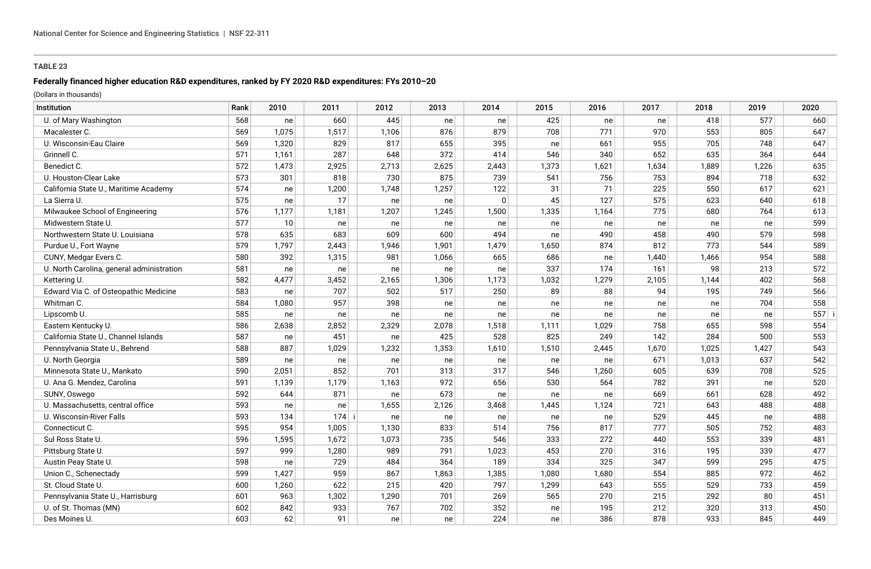### **Federally financed higher education R&D expenditures, ranked by FY 2020 R&D expenditures: FYs 2010–20**

| Institution                               | Rank | 2010  | 2011  | 2012  | 2013  | 2014         | 2015  | 2016  | 2017  | 2018  | 2019  | 2020 |
|-------------------------------------------|------|-------|-------|-------|-------|--------------|-------|-------|-------|-------|-------|------|
| U. of Mary Washington                     | 568  | ne    | 660   | 445   | ne    | ne           | 425   | ne    | ne    | 418   | 577   | 660  |
| Macalester C.                             | 569  | 1,075 | 1,517 | 1,106 | 876   | 879          | 708   | 771   | 970   | 553   | 805   | 647  |
| U. Wisconsin-Eau Claire                   | 569  | 1,320 | 829   | 817   | 655   | 395          | ne    | 661   | 955   | 705   | 748   | 647  |
| Grinnell C.                               | 571  | 1,161 | 287   | 648   | 372   | 414          | 546   | 340   | 652   | 635   | 364   | 644  |
| Benedict C.                               | 572  | 1,473 | 2,925 | 2,713 | 2,625 | 2,443        | 1,373 | 1,621 | 1,634 | 1,889 | 1,226 | 635  |
| U. Houston-Clear Lake                     | 573  | 301   | 818   | 730   | 875   | 739          | 541   | 756   | 753   | 894   | 718   | 632  |
| California State U., Maritime Academy     | 574  | ne    | 1,200 | 1,748 | 1,257 | 122          | 31    | 71    | 225   | 550   | 617   | 621  |
| La Sierra U.                              | 575  | ne    | 17    | ne    | ne    | $\mathbf{0}$ | 45    | 127   | 575   | 623   | 640   | 618  |
| Milwaukee School of Engineering           | 576  | 1,177 | 1,181 | 1,207 | 1,245 | 1,500        | 1,335 | 1,164 | 775   | 680   | 764   | 613  |
| Midwestern State U.                       | 577  | 10    | ne    | ne    | ne    | ne           | ne    | ne    | ne    | ne    | ne    | 599  |
| Northwestern State U. Louisiana           | 578  | 635   | 683   | 609   | 600   | 494          | ne    | 490   | 458   | 490   | 579   | 598  |
| Purdue U., Fort Wayne                     | 579  | 1,797 | 2,443 | 1,946 | 1,901 | 1,479        | 1,650 | 874   | 812   | 773   | 544   | 589  |
| CUNY, Medgar Evers C.                     | 580  | 392   | 1,315 | 981   | 1,066 | 665          | 686   | ne    | 1,440 | 1,466 | 954   | 588  |
| U. North Carolina, general administration | 581  | ne    | ne    | ne    | ne    | ne           | 337   | 174   | 161   | 98    | 213   | 572  |
| Kettering U.                              | 582  | 4,477 | 3,452 | 2,165 | 1,306 | 1,173        | 1,032 | 1,279 | 2,105 | 1,144 | 402   | 568  |
| Edward Via C. of Osteopathic Medicine     | 583  | ne    | 707   | 502   | 517   | 250          | 89    | 88    | 94    | 195   | 749   | 566  |
| Whitman C.                                | 584  | 1,080 | 957   | 398   | ne    | ne           | ne    | ne    | ne    | ne    | 704   | 558  |
| Lipscomb U.                               | 585  | ne    | ne    | ne    | ne    | ne           | ne    | ne    | ne    | ne    | ne    | 557  |
| Eastern Kentucky U.                       | 586  | 2,638 | 2,852 | 2,329 | 2,078 | 1,518        | 1,111 | 1,029 | 758   | 655   | 598   | 554  |
| California State U., Channel Islands      | 587  | ne    | 451   | ne    | 425   | 528          | 825   | 249   | 142   | 284   | 500   | 553  |
| Pennsylvania State U., Behrend            | 588  | 887   | 1,029 | 1,232 | 1,353 | 1,610        | 1,510 | 2,445 | 1,670 | 1,025 | 1,427 | 543  |
| U. North Georgia                          | 589  | ne    | ne    | ne    | ne    | ne           | ne    | ne    | 671   | 1,013 | 637   | 542  |
| Minnesota State U., Mankato               | 590  | 2,051 | 852   | 701   | 313   | 317          | 546   | 1,260 | 605   | 639   | 708   | 525  |
| U. Ana G. Mendez, Carolina                | 591  | 1,139 | 1,179 | 1,163 | 972   | 656          | 530   | 564   | 782   | 391   | ne    | 520  |
| SUNY, Oswego                              | 592  | 644   | 871   | ne    | 673   | ne           | ne    | ne    | 669   | 661   | 628   | 492  |
| U. Massachusetts, central office          | 593  | ne    | ne    | 1,655 | 2,126 | 3,468        | 1,445 | 1,124 | 721   | 643   | 488   | 488  |
| U. Wisconsin-River Falls                  | 593  | 134   | 174 i | ne    | ne    | ne           | ne    | ne    | 529   | 445   | ne    | 488  |
| Connecticut C.                            | 595  | 954   | 1,005 | 1,130 | 833   | 514          | 756   | 817   | 777   | 505   | 752   | 483  |
| Sul Ross State U.                         | 596  | 1,595 | 1,672 | 1,073 | 735   | 546          | 333   | 272   | 440   | 553   | 339   | 481  |
| Pittsburg State U.                        | 597  | 999   | 1,280 | 989   | 791   | 1,023        | 453   | 270   | 316   | 195   | 339   | 477  |
| Austin Peay State U.                      | 598  | ne    | 729   | 484   | 364   | 189          | 334   | 325   | 347   | 599   | 295   | 475  |
| Union C., Schenectady                     | 599  | 1,427 | 959   | 867   | 1,863 | 1,385        | 1,080 | 1,680 | 554   | 885   | 972   | 462  |
| St. Cloud State U.                        | 600  | 1,260 | 622   | 215   | 420   | 797          | 1,299 | 643   | 555   | 529   | 733   | 459  |
| Pennsylvania State U., Harrisburg         | 601  | 963   | 1,302 | 1,290 | 701   | 269          | 565   | 270   | 215   | 292   | 80    | 451  |
| U. of St. Thomas (MN)                     | 602  | 842   | 933   | 767   | 702   | 352          | ne    | 195   | 212   | 320   | 313   | 450  |
| Des Moines U.                             | 603  | 62    | 91    | ne    | ne    | 224          | ne    | 386   | 878   | 933   | 845   | 449  |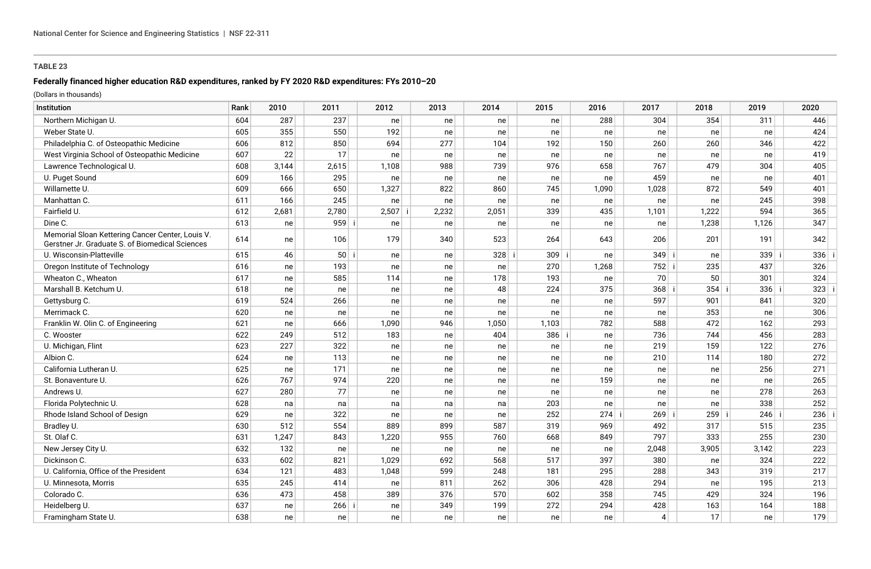## **Federally financed higher education R&D expenditures, ranked by FY 2020 R&D expenditures: FYs 2010–20**

| Institution                                                                                         | Rank | 2010  | 2011     | 2012  | 2013  | 2014    | 2015    | 2016  | 2017           | 2018  | 2019  | 2020 |  |
|-----------------------------------------------------------------------------------------------------|------|-------|----------|-------|-------|---------|---------|-------|----------------|-------|-------|------|--|
| Northern Michigan U.                                                                                | 604  | 287   | 237      | ne    | ne    | ne      | ne      | 288   | 304            | 354   | 311   | 446  |  |
| Weber State U.                                                                                      | 605  | 355   | 550      | 192   | ne    | ne      | ne      | ne    | ne             | ne    | ne    | 424  |  |
| Philadelphia C. of Osteopathic Medicine                                                             | 606  | 812   | 850      | 694   | 277   | 104     | 192     | 150   | 260            | 260   | 346   | 422  |  |
| West Virginia School of Osteopathic Medicine                                                        | 607  | 22    | 17       | ne    | ne    | ne      | ne      | ne    | ne             | ne    | ne    | 419  |  |
| Lawrence Technological U.                                                                           | 608  | 3,144 | 2,615    | 1,108 | 988   | 739     | 976     | 658   | 767            | 479   | 304   | 405  |  |
| U. Puget Sound                                                                                      | 609  | 166   | 295      | ne    | ne    | ne      | ne      | ne    | 459            | ne    | ne    | 401  |  |
| Willamette U.                                                                                       | 609  | 666   | 650      | 1,327 | 822   | 860     | 745     | 1,090 | 1,028          | 872   | 549   | 401  |  |
| Manhattan C.                                                                                        | 611  | 166   | 245      | ne    | ne    | ne      | ne      | ne    | ne             | ne    | 245   | 398  |  |
| Fairfield U.                                                                                        | 612  | 2,681 | 2,780    | 2,507 | 2,232 | 2,051   | 339     | 435   | 1,101          | 1,222 | 594   | 365  |  |
| Dine C.                                                                                             | 613  | ne    | 959 i    | ne    | ne    | ne      | ne      | ne    | ne             | 1,238 | 1,126 | 347  |  |
| Memorial Sloan Kettering Cancer Center, Louis V.<br>Gerstner Jr. Graduate S. of Biomedical Sciences | 614  | ne    | 106      | 179   | 340   | 523     | 264     | 643   | 206            | 201   | 191   | 342  |  |
| U. Wisconsin-Platteville                                                                            | 615  | 46    | $50$   i | ne    | ne    | $328$ i | $309$ i | ne    | $349$ i        | ne    | 339   | 336  |  |
| Oregon Institute of Technology                                                                      | 616  | ne    | 193      | ne    | ne    | ne      | 270     | 1,268 | $752$ i        | 235   | 437   | 326  |  |
| Wheaton C., Wheaton                                                                                 | 617  | ne    | 585      | 114   | ne    | 178     | 193     | ne    | 70             | 50    | 301   | 324  |  |
| Marshall B. Ketchum U.                                                                              | 618  | ne    | ne       | ne    | ne    | 48      | 224     | 375   | $368$ i        | 354   | 336   | 323  |  |
| Gettysburg C.                                                                                       | 619  | 524   | 266      | ne    | ne    | ne      | ne      | ne    | 597            | 901   | 841   | 320  |  |
| Merrimack C.                                                                                        | 620  | ne    | ne       | ne    | ne    | ne      | ne      | ne    | ne             | 353   | ne    | 306  |  |
| Franklin W. Olin C. of Engineering                                                                  | 621  | ne    | 666      | 1,090 | 946   | 1,050   | 1,103   | 782   | 588            | 472   | 162   | 293  |  |
| C. Wooster                                                                                          | 622  | 249   | 512      | 183   | ne    | 404     | $386$ i | ne    | 736            | 744   | 456   | 283  |  |
| U. Michigan, Flint                                                                                  | 623  | 227   | 322      | ne    | ne    | ne      | ne      | ne    | 219            | 159   | 122   | 276  |  |
| Albion C.                                                                                           | 624  | ne    | 113      | ne    | ne    | ne      | ne      | ne    | 210            | 114   | 180   | 272  |  |
| California Lutheran U.                                                                              | 625  | ne    | 171      | ne    | ne    | ne      | ne      | ne    | ne             | ne    | 256   | 271  |  |
| St. Bonaventure U.                                                                                  | 626  | 767   | 974      | 220   | ne    | ne      | ne      | 159   | ne             | ne    | ne    | 265  |  |
| Andrews U.                                                                                          | 627  | 280   | 77       | ne    | ne    | ne      | ne      | ne    | ne             | ne    | 278   | 263  |  |
| Florida Polytechnic U.                                                                              | 628  | na    | na       | na    | na    | na      | 203     | ne    | ne             | ne    | 338   | 252  |  |
| Rhode Island School of Design                                                                       | 629  | ne    | 322      | ne    | ne    | ne      | 252     | 274   | $269$ i        | 259   | 246   | 236  |  |
| Bradley U.                                                                                          | 630  | 512   | 554      | 889   | 899   | 587     | 319     | 969   | 492            | 317   | 515   | 235  |  |
| St. Olaf C.                                                                                         | 631  | 1,247 | 843      | 1,220 | 955   | 760     | 668     | 849   | 797            | 333   | 255   | 230  |  |
| New Jersey City U.                                                                                  | 632  | 132   | ne       | ne    | ne    | ne      | ne      | ne    | 2,048          | 3,905 | 3,142 | 223  |  |
| Dickinson C.                                                                                        | 633  | 602   | 821      | 1,029 | 692   | 568     | 517     | 397   | 380            | ne    | 324   | 222  |  |
| U. California, Office of the President                                                              | 634  | 121   | 483      | 1,048 | 599   | 248     | 181     | 295   | 288            | 343   | 319   | 217  |  |
| U. Minnesota, Morris                                                                                | 635  | 245   | 414      | ne    | 811   | 262     | 306     | 428   | 294            | ne    | 195   | 213  |  |
| Colorado C.                                                                                         | 636  | 473   | 458      | 389   | 376   | 570     | 602     | 358   | 745            | 429   | 324   | 196  |  |
| Heidelberg U.                                                                                       | 637  | ne    | 266      | ne    | 349   | 199     | 272     | 294   | 428            | 163   | 164   | 188  |  |
| Framingham State U.                                                                                 | 638  | ne    | ne       | ne    | ne    | ne      | ne      | ne    | $\overline{4}$ | 17    | ne    | 179  |  |